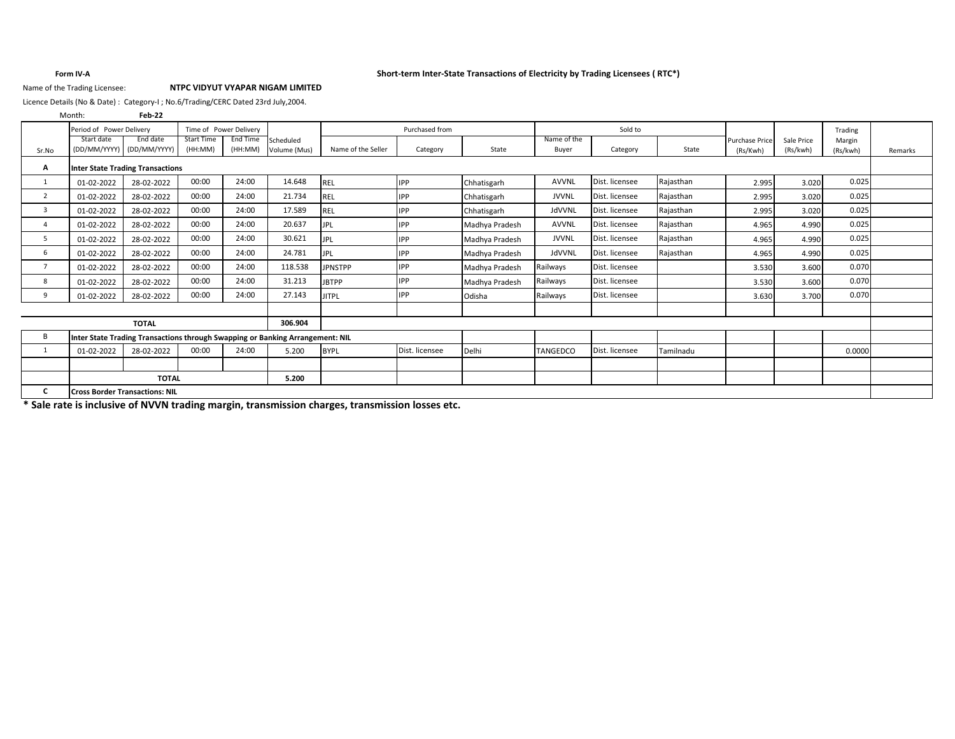### **Form IV-A Short-term Inter-State Transactions of Electricity by Trading Licensees ( RTC\*)**

### Name of the Trading Licensee: **NTPC VIDYUT VYAPAR NIGAM LIMITED**

Licence Details (No & Date) : Category-I ; No.6/Trading/CERC Dated 23rd July,2004.

| Month:     | Feb-22       |                                                                                                            |                                                                              |                                    |                    |                                                                               |                                                                                                                                                                                                                                         |              |                |           |                                   |                        |                    |         |
|------------|--------------|------------------------------------------------------------------------------------------------------------|------------------------------------------------------------------------------|------------------------------------|--------------------|-------------------------------------------------------------------------------|-----------------------------------------------------------------------------------------------------------------------------------------------------------------------------------------------------------------------------------------|--------------|----------------|-----------|-----------------------------------|------------------------|--------------------|---------|
|            |              |                                                                                                            |                                                                              |                                    |                    | Purchased from                                                                |                                                                                                                                                                                                                                         |              | Sold to        |           |                                   |                        | Trading            |         |
| Start date |              | (HH:MM)                                                                                                    | (HH:MM)                                                                      | Scheduled<br>Volume (Mus)          | Name of the Seller | Category                                                                      | State                                                                                                                                                                                                                                   | Buyer        | Category       | State     | <b>Purchase Price</b><br>(Rs/Kwh) | Sale Price<br>(Rs/kwh) | Margin<br>(Rs/kwh) | Remarks |
|            |              |                                                                                                            |                                                                              |                                    |                    |                                                                               |                                                                                                                                                                                                                                         |              |                |           |                                   |                        |                    |         |
| 01-02-2022 | 28-02-2022   | 00:00                                                                                                      | 24:00                                                                        | 14.648                             | <b>REL</b>         | <b>IPP</b>                                                                    | Chhatisgarh                                                                                                                                                                                                                             | <b>AVVNL</b> | Dist. licensee | Rajasthan | 2.995                             | 3.020                  | 0.025              |         |
| 01-02-2022 | 28-02-2022   | 00:00                                                                                                      | 24:00                                                                        | 21.734                             | <b>REL</b>         | <b>IPP</b>                                                                    | Chhatisgarh                                                                                                                                                                                                                             | <b>JVVNL</b> | Dist. licensee | Rajasthan | 2.995                             | 3.020                  | 0.025              |         |
| 01-02-2022 | 28-02-2022   | 00:00                                                                                                      | 24:00                                                                        | 17.589                             | <b>REL</b>         | <b>IPP</b>                                                                    | Chhatisgarh                                                                                                                                                                                                                             | JdVVNL       | Dist. licensee | Rajasthan | 2.995                             | 3.020                  | 0.025              |         |
| 01-02-2022 | 28-02-2022   | 00:00                                                                                                      | 24:00                                                                        | 20.637                             | <b>JPL</b>         | <b>IPP</b>                                                                    | Madhya Pradesh                                                                                                                                                                                                                          | <b>AVVNL</b> | Dist. licensee | Rajasthan | 4.965                             | 4.990                  | 0.025              |         |
| 01-02-2022 | 28-02-2022   | 00:00                                                                                                      | 24:00                                                                        | 30.621                             | <b>JPL</b>         | <b>IPP</b>                                                                    | Madhya Pradesh                                                                                                                                                                                                                          | <b>JVVNL</b> | Dist. licensee | Rajasthan | 4.965                             | 4.990                  | 0.025              |         |
| 01-02-2022 | 28-02-2022   | 00:00                                                                                                      | 24:00                                                                        | 24.781                             | <b>JPL</b>         | <b>IPP</b>                                                                    | Madhya Pradesh                                                                                                                                                                                                                          | JdVVNL       | Dist. licensee | Rajasthan | 4.965                             | 4.990                  | 0.025              |         |
| 01-02-2022 | 28-02-2022   | 00:00                                                                                                      | 24:00                                                                        | 118.538                            | <b>JPNSTPP</b>     | <b>IPP</b>                                                                    | Madhya Pradesh                                                                                                                                                                                                                          | Railways     | Dist. licensee |           | 3.530                             | 3.600                  | 0.070              |         |
| 01-02-2022 | 28-02-2022   | 00:00                                                                                                      | 24:00                                                                        | 31.213                             | <b>JBTPP</b>       | <b>IPP</b>                                                                    | Madhya Pradesh                                                                                                                                                                                                                          | Railways     | Dist. licensee |           | 3.530                             | 3.600                  | 0.070              |         |
| 01-02-2022 | 28-02-2022   | 00:00                                                                                                      | 24:00                                                                        | 27.143                             | <b>JITPL</b>       | <b>IPP</b>                                                                    | Odisha                                                                                                                                                                                                                                  | Railways     | Dist. licensee |           | 3.630                             | 3.700                  | 0.070              |         |
|            |              |                                                                                                            |                                                                              |                                    |                    |                                                                               |                                                                                                                                                                                                                                         |              |                |           |                                   |                        |                    |         |
|            | <b>TOTAL</b> |                                                                                                            |                                                                              | 306.904                            |                    |                                                                               |                                                                                                                                                                                                                                         |              |                |           |                                   |                        |                    |         |
|            |              |                                                                                                            |                                                                              |                                    |                    |                                                                               |                                                                                                                                                                                                                                         |              |                |           |                                   |                        |                    |         |
| 01-02-2022 | 28-02-2022   | 00:00                                                                                                      | 24:00                                                                        | 5.200                              | <b>BYPL</b>        | Dist. licensee                                                                | Delhi                                                                                                                                                                                                                                   | TANGEDCO     | Dist. licensee | Tamilnadu |                                   |                        | 0.0000             |         |
|            |              |                                                                                                            |                                                                              |                                    |                    |                                                                               |                                                                                                                                                                                                                                         |              |                |           |                                   |                        |                    |         |
|            |              |                                                                                                            |                                                                              | 5.200                              |                    |                                                                               |                                                                                                                                                                                                                                         |              |                |           |                                   |                        |                    |         |
|            |              |                                                                                                            |                                                                              |                                    |                    |                                                                               |                                                                                                                                                                                                                                         |              |                |           |                                   |                        |                    |         |
|            |              | Period of Power Delivery<br>End date<br>(DD/MM/YYYY) (DD/MM/YYYY)<br><b>Cross Border Transactions: NIL</b> | <b>Start Time</b><br><b>Inter State Trading Transactions</b><br><b>TOTAL</b> | Time of Power Delivery<br>End Time |                    | Inter State Trading Transactions through Swapping or Banking Arrangement: NIL | $\bullet$ and the state of the state and $\bullet$ . The state of the state of the state of the state of the state of the state of the state of the state of the state of the state of the state of the state of the state of the state |              | Name of the    |           |                                   |                        |                    |         |

**\* Sale rate is inclusive of NVVN trading margin, transmission charges, transmission losses etc.**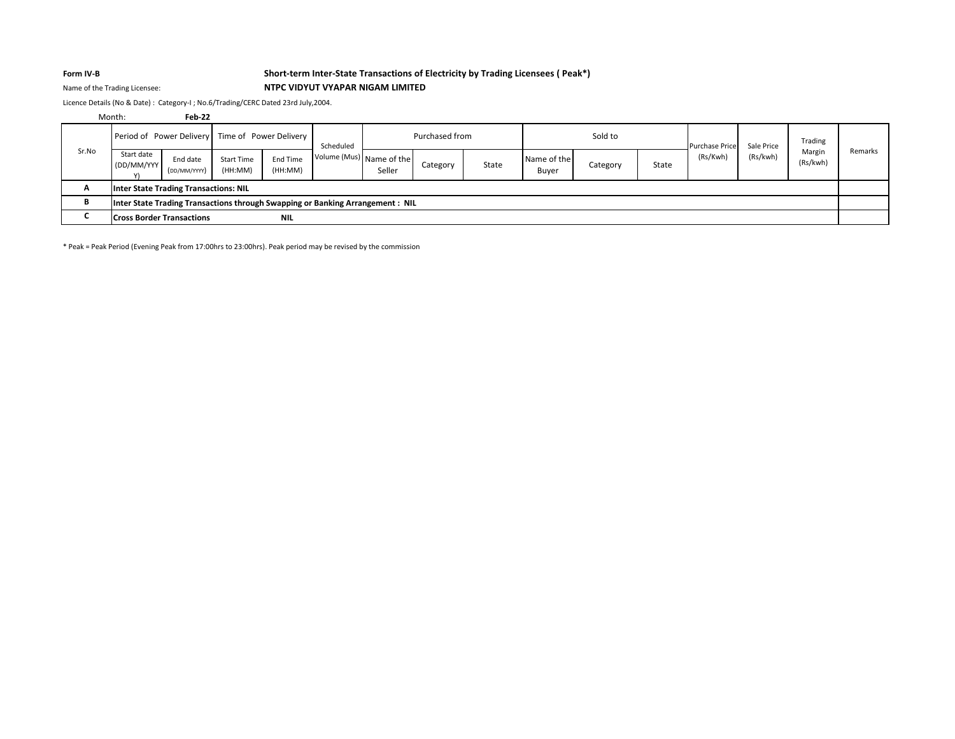## **Form IV-B Short-term Inter-State Transactions of Electricity by Trading Licensees ( Peak\*)** Name of the Trading Licensee: **NTPC VIDYUT VYAPAR NIGAM LIMITED**

Licence Details (No & Date) : Category-I ; No.6/Trading/CERC Dated 23rd July,2004.

|       | Month:                                                                         | Feb-22                   |                              |                     |                          |        |                |       |                      |          |       |                       |            |                    |         |
|-------|--------------------------------------------------------------------------------|--------------------------|------------------------------|---------------------|--------------------------|--------|----------------|-------|----------------------|----------|-------|-----------------------|------------|--------------------|---------|
|       | Period of Power Delivery Time of Power Delivery                                |                          |                              |                     | Scheduled                |        | Purchased from |       |                      | Sold to  |       | <b>Purchase Price</b> | Sale Price | Trading            |         |
| Sr.No | Start date<br>(DD/MM/YYY)                                                      | End date<br>(DD/MM/YYYY) | <b>Start Time</b><br>(HH:MM) | End Time<br>(HH:MM) | Volume (Mus) Name of the | Seller | Category       | State | Name of the<br>Buyer | Category | State | (Rs/Kwh)              | (Rs/kwh)   | Margin<br>(Rs/kwh) | Remarks |
| A     | Inter State Trading Transactions: NIL                                          |                          |                              |                     |                          |        |                |       |                      |          |       |                       |            |                    |         |
| в     | Inter State Trading Transactions through Swapping or Banking Arrangement : NIL |                          |                              |                     |                          |        |                |       |                      |          |       |                       |            |                    |         |
|       | <b>Cross Border Transactions</b>                                               |                          |                              | <b>NIL</b>          |                          |        |                |       |                      |          |       |                       |            |                    |         |

\* Peak = Peak Period (Evening Peak from 17:00hrs to 23:00hrs). Peak period may be revised by the commission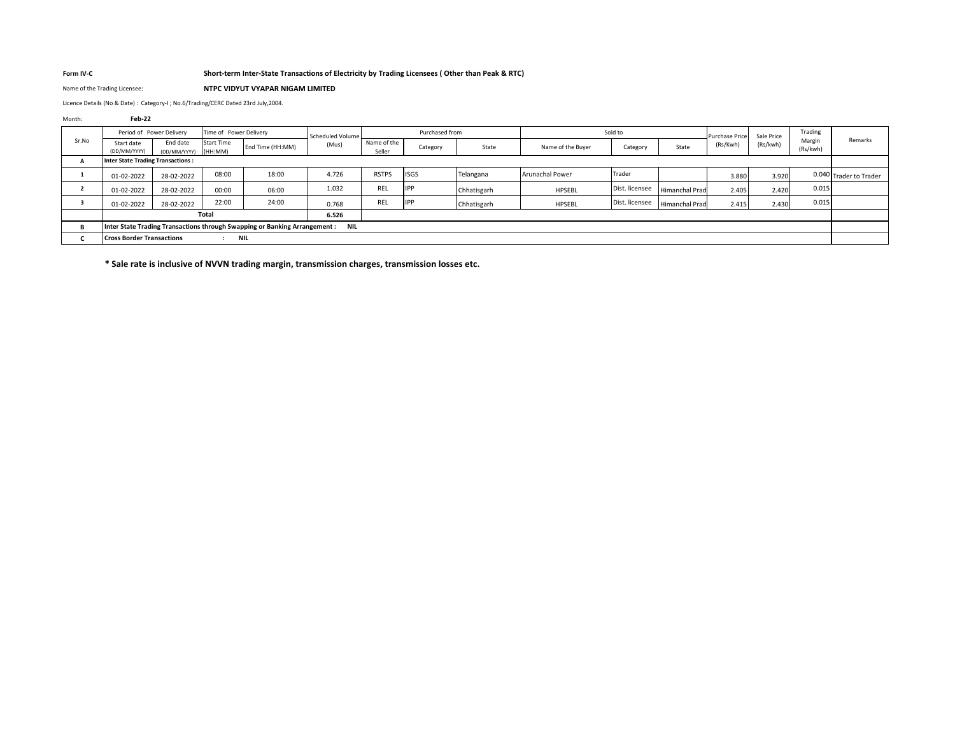### **Form IV-C Short-term Inter-State Transactions of Electricity by Trading Licensees ( Other than Peak & RTC)**

Name of the Trading Licensee: **NTPC VIDYUT VYAPAR NIGAM LIMITED**

Licence Details (No & Date) : Category-I ; No.6/Trading/CERC Dated 23rd July,2004.

Month: **Feb-22**

|       | Period of Power Delivery                 |                          | Time of Power Delivery       |                                                                            | Scheduled Volume |                       | Purchased from |             |                        | Sold to        |                       | <b>Purchase Price</b> | Sale Price | Trading            |                        |
|-------|------------------------------------------|--------------------------|------------------------------|----------------------------------------------------------------------------|------------------|-----------------------|----------------|-------------|------------------------|----------------|-----------------------|-----------------------|------------|--------------------|------------------------|
| Sr.No | Start date<br>(DD/MM/YYYY)               | End date<br>(DD/MM/YYYY) | <b>Start Time</b><br>(HH:MM) | End Time (HH:MM)                                                           | (Mus)            | Name of the<br>Seller | Category       | State       | Name of the Buyer      | Category       | State                 | (Rs/Kwh)              | (Rs/kwh)   | Margin<br>(Rs/kwh) | Remarks                |
|       | <b>Inter State Trading Transactions:</b> |                          |                              |                                                                            |                  |                       |                |             |                        |                |                       |                       |            |                    |                        |
|       | 01-02-2022                               | 28-02-2022               | 08:00                        | 18:00                                                                      | 4.726            | <b>RSTPS</b>          | <b>ISGS</b>    | Telangana   | <b>Arunachal Power</b> | Trader         |                       | 3.880                 | 3.920      |                    | 0.040 Trader to Trader |
|       | 01-02-2022                               | 28-02-2022               | 00:00                        | 06:00                                                                      | 1.032            | <b>REL</b>            | <b>IPP</b>     | Chhatisgarh | HPSEBL                 | Dist. licensee | <b>Himanchal Prad</b> | 2.405                 | 2.420      | 0.015              |                        |
|       | 01-02-2022                               | 28-02-2022               | 22:00                        | 24:00                                                                      | 0.768            | REL                   | <b>IPP</b>     | Chhatisgarh | <b>HPSEBL</b>          | Dist. licensee | <b>Himanchal Prad</b> | 2.415                 | 2.430      | 0.015              |                        |
|       |                                          |                          | Total                        |                                                                            | 6.526            |                       |                |             |                        |                |                       |                       |            |                    |                        |
|       |                                          |                          |                              | Inter State Trading Transactions through Swapping or Banking Arrangement : | <b>NIL</b>       |                       |                |             |                        |                |                       |                       |            |                    |                        |
|       | <b>Cross Border Transactions</b>         |                          | <b>NIL</b>                   |                                                                            |                  |                       |                |             |                        |                |                       |                       |            |                    |                        |

**\* Sale rate is inclusive of NVVN trading margin, transmission charges, transmission losses etc.**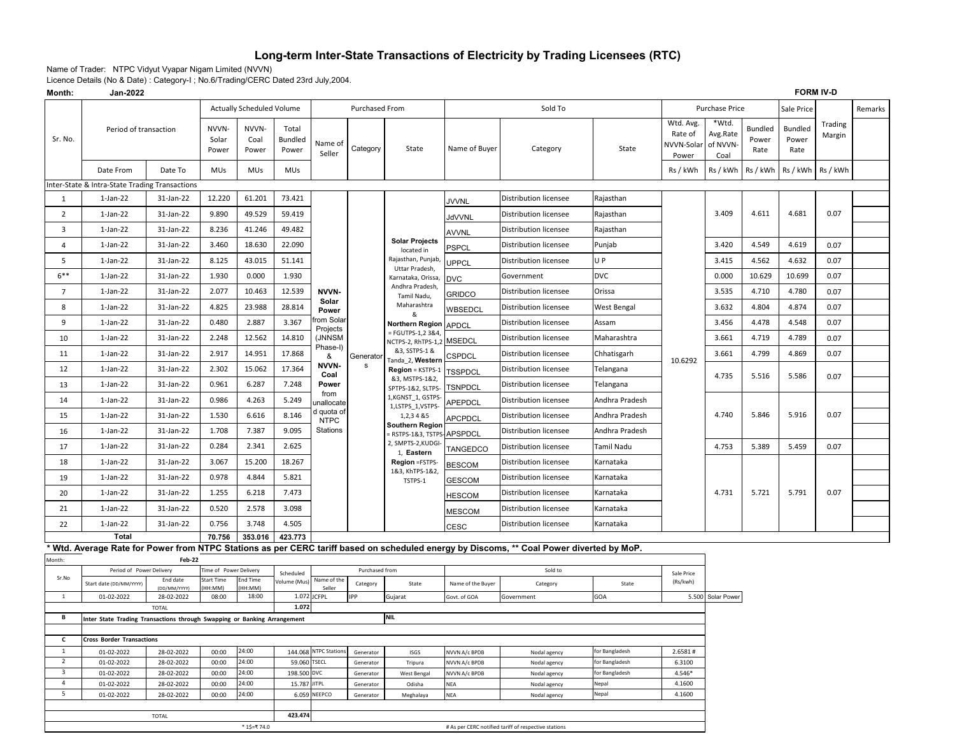# **Long-term Inter-State Transactions of Electricity by Trading Licensees (RTC)**

Name of Trader: NTPC Vidyut Vyapar Nigam Limited (NVVN)

Licence Details (No & Date) : Category-I ; No.6/Trading/CERC Dated 23rd July,2004.

| Month:                  | Jan-2022                                                                 |                          |                         |                           |                                  |                           |                        |                                                |                                |                                                                                                                                          |                                  |                                             |                                       |                                 |                          | <b>FORM IV-D</b>  |         |
|-------------------------|--------------------------------------------------------------------------|--------------------------|-------------------------|---------------------------|----------------------------------|---------------------------|------------------------|------------------------------------------------|--------------------------------|------------------------------------------------------------------------------------------------------------------------------------------|----------------------------------|---------------------------------------------|---------------------------------------|---------------------------------|--------------------------|-------------------|---------|
|                         |                                                                          |                          |                         | Actually Scheduled Volume |                                  |                           | Purchased From         |                                                |                                | Sold To                                                                                                                                  |                                  |                                             | Purchase Price                        |                                 | Sale Price               |                   | Remarks |
| Sr. No.                 | Period of transaction                                                    |                          | NVVN-<br>Solar<br>Power | NVVN-<br>Coal<br>Power    | Total<br><b>Bundled</b><br>Power | Name of<br>Seller         | Category               | State                                          | Name of Buyer                  | Category                                                                                                                                 | State                            | Wtd. Avg.<br>Rate of<br>NVVN-Solar<br>Power | *Wtd.<br>Avg.Rate<br>of NVVN-<br>Coal | <b>Bundled</b><br>Power<br>Rate | Bundled<br>Power<br>Rate | Trading<br>Margin |         |
|                         | Date From                                                                | Date To                  | MUs                     | MUs                       | <b>MUs</b>                       |                           |                        |                                                |                                |                                                                                                                                          |                                  | Rs / kWh                                    | Rs / kWh                              | Rs / kWh                        | Rs / kWh                 | Rs / kWh          |         |
|                         | Inter-State & Intra-State Trading Transactions                           |                          |                         |                           |                                  |                           |                        |                                                |                                |                                                                                                                                          |                                  |                                             |                                       |                                 |                          |                   |         |
| 1                       | $1$ -Jan-22                                                              | 31-Jan-22                | 12.220                  | 61.201                    | 73.421                           |                           |                        |                                                | <b>JVVNL</b>                   | Distribution licensee                                                                                                                    | Rajasthan                        |                                             |                                       |                                 |                          |                   |         |
| $\overline{2}$          | 1-Jan-22                                                                 | 31-Jan-22                | 9.890                   | 49.529                    | 59.419                           |                           |                        |                                                | <b>JdVVNL</b>                  | Distribution licensee                                                                                                                    | Rajasthan                        |                                             | 3.409                                 | 4.611                           | 4.681                    | 0.07              |         |
| 3                       | $1$ -Jan-22                                                              | 31-Jan-22                | 8.236                   | 41.246                    | 49.482                           |                           |                        |                                                | AVVNL                          | Distribution licensee                                                                                                                    | Rajasthan                        |                                             |                                       |                                 |                          |                   |         |
| 4                       | 1-Jan-22                                                                 | 31-Jan-22                | 3.460                   | 18.630                    | 22.090                           |                           |                        | <b>Solar Projects</b><br>located in            | <b>PSPCL</b>                   | Distribution licensee                                                                                                                    | Punjab                           |                                             | 3.420                                 | 4.549                           | 4.619                    | 0.07              |         |
| 5                       | 1-Jan-22                                                                 | 31-Jan-22                | 8.125                   | 43.015                    | 51.141                           |                           |                        | Rajasthan, Punjab,                             | <b>UPPCL</b>                   | Distribution licensee                                                                                                                    | U P                              |                                             | 3.415                                 | 4.562                           | 4.632                    | 0.07              |         |
| $6***$                  | 1-Jan-22                                                                 | 31-Jan-22                | 1.930                   | 0.000                     | 1.930                            |                           |                        | Uttar Pradesh,<br>Karnataka, Orissa,           | <b>DVC</b>                     | Government                                                                                                                               | <b>DVC</b>                       |                                             | 0.000                                 | 10.629                          | 10.699                   | 0.07              |         |
| $7\overline{ }$         | $1$ -Jan-22                                                              | 31-Jan-22                | 2.077                   | 10.463                    | 12.539                           | <b>NVVN-</b>              |                        | Andhra Pradesh,<br>Tamil Nadu,                 | GRIDCO                         | Distribution licensee                                                                                                                    | Orissa                           |                                             | 3.535                                 | 4.710                           | 4.780                    | 0.07              |         |
| 8                       | 1-Jan-22                                                                 | 31-Jan-22                | 4.825                   | 23.988                    | 28.814                           | Solar<br>Power            |                        | Maharashtra                                    | WBSEDCL                        | Distribution licensee                                                                                                                    | West Bengal                      |                                             | 3.632                                 | 4.804                           | 4.874                    | 0.07              |         |
| 9                       | $1$ -Jan-22                                                              | 31-Jan-22                | 0.480                   | 2.887                     | 3.367                            | rom Solar                 |                        | &<br>Northern Region APDCL                     |                                | Distribution licensee                                                                                                                    | Assam                            |                                             | 3.456                                 | 4.478                           | 4.548                    | 0.07              |         |
| 10                      | $1$ -Jan-22                                                              | 31-Jan-22                | 2.248                   | 12.562                    | 14.810                           | Projects<br>(JNNSM        |                        | = FGUTPS-1,2 3&4,<br>NCTPS-2, RhTPS-1,2 MSEDCL |                                | Distribution licensee                                                                                                                    | Maharashtra                      |                                             | 3.661                                 | 4.719                           | 4.789                    | 0.07              |         |
| 11                      | $1$ -Jan-22                                                              | 31-Jan-22                | 2.917                   | 14.951                    | 17.868                           | Phase-I)<br>&             | Generator              | &3, SSTPS-1 &                                  | CSPDCL                         | Distribution licensee                                                                                                                    | Chhatisgarh                      |                                             | 3.661                                 | 4.799                           | 4.869                    | 0.07              |         |
| 12                      | $1$ -Jan-22                                                              | 31-Jan-22                | 2.302                   | 15.062                    | 17.364                           | NVVN-<br>Coal             | $\mathbf s$            | Tanda 2, Western<br>Region = KSTPS-1           | <b>TSSPDCL</b>                 | Distribution licensee                                                                                                                    | Telangana                        | 10.6292                                     |                                       |                                 |                          |                   |         |
| 13                      | $1$ -Jan-22                                                              | 31-Jan-22                | 0.961                   | 6.287                     | 7.248                            | Power                     |                        | &3, MSTPS-1&2,<br>SPTPS-1&2, SLTPS-            | <b>TSNPDCL</b>                 | Distribution licensee                                                                                                                    | Telangana                        |                                             | 4.735                                 | 5.516                           | 5.586                    | 0.07              |         |
| 14                      | $1$ -Jan-22                                                              | 31-Jan-22                | 0.986                   | 4.263                     | 5.249                            | from<br>unallocate        |                        | 1,KGNST_1, GSTPS-                              | APEPDCL                        | Distribution licensee                                                                                                                    | Andhra Pradesh                   |                                             |                                       |                                 |                          |                   |         |
| 15                      | $1$ -Jan-22                                                              | 31-Jan-22                | 1.530                   | 6.616                     | 8.146                            | d quota of<br><b>NTPC</b> |                        | 1,LSTPS_1,VSTPS-<br>1,2,3 4 & 5                | APCPDCL                        | Distribution licensee                                                                                                                    | Andhra Pradesh                   |                                             | 4.740                                 | 5.846                           | 5.916                    | 0.07              |         |
| 16                      | $1$ -Jan-22                                                              | 31-Jan-22                | 1.708                   | 7.387                     | 9.095                            | Stations                  |                        | <b>Southern Region</b><br>- RSTPS-1&3, TSTPS-  | APSPDCL                        | Distribution licensee                                                                                                                    | Andhra Pradesh                   |                                             |                                       |                                 |                          |                   |         |
| 17                      | $1$ -Jan-22                                                              | 31-Jan-22                | 0.284                   | 2.341                     | 2.625                            |                           |                        | 2, SMPTS-2, KUDGI-<br>1, Eastern               | TANGEDCO                       | Distribution licensee                                                                                                                    | Tamil Nadu                       |                                             | 4.753                                 | 5.389                           | 5.459                    | 0.07              |         |
| 18                      | $1$ -Jan-22                                                              | 31-Jan-22                | 3.067                   | 15.200                    | 18.267                           |                           |                        | Region =FSTPS-                                 | <b>BESCOM</b>                  | Distribution licensee                                                                                                                    | Karnataka                        |                                             |                                       |                                 |                          |                   |         |
| 19                      | $1$ -Jan-22                                                              | 31-Jan-22                | 0.978                   | 4.844                     | 5.821                            |                           |                        | 1&3, KhTPS-1&2,<br>TSTPS-1                     | <b>GESCOM</b>                  | Distribution licensee                                                                                                                    | Karnataka                        |                                             |                                       |                                 |                          |                   |         |
| 20                      | $1$ -Jan-22                                                              | 31-Jan-22                | 1.255                   | 6.218                     | 7.473                            |                           |                        |                                                | <b>HESCOM</b>                  | Distribution licensee                                                                                                                    | Karnataka                        |                                             | 4.731                                 | 5.721                           | 5.791                    | 0.07              |         |
| 21                      | $1$ -Jan-22                                                              | 31-Jan-22                | 0.520                   | 2.578                     | 3.098                            |                           |                        |                                                | MESCOM                         | Distribution licensee                                                                                                                    | Karnataka                        |                                             |                                       |                                 |                          |                   |         |
| 22                      | $1$ -Jan-22                                                              | 31-Jan-22                | 0.756                   | 3.748                     | 4.505                            |                           |                        |                                                | CESC                           | Distribution licensee                                                                                                                    | Karnataka                        |                                             |                                       |                                 |                          |                   |         |
|                         | <b>Total</b>                                                             |                          | 70.756                  | 353.016                   | 423.773                          |                           |                        |                                                |                                |                                                                                                                                          |                                  |                                             |                                       |                                 |                          |                   |         |
|                         |                                                                          |                          |                         |                           |                                  |                           |                        |                                                |                                | * Wtd. Average Rate for Power from NTPC Stations as per CERC tariff based on scheduled energy by Discoms, ** Coal Power diverted by MoP. |                                  |                                             |                                       |                                 |                          |                   |         |
| Month:                  | Period of Power Delivery                                                 | Feb-22                   | Time of Power Delivery  |                           | Scheduled                        |                           | Purchased from         |                                                |                                | Sold to                                                                                                                                  |                                  |                                             |                                       |                                 |                          |                   |         |
| Sr.No                   | Start date (DD/MM/YYYY)                                                  | End date<br>(DD/MM/YYYY  | itart Time<br>(MM:HF    | Ind Time<br>(MM:HH        | /olume (Mus)                     | Name of the<br>Seller     | Category               | State                                          | Name of the Buyer              | Category                                                                                                                                 | State                            | Sale Price<br>(Rs/kwh)                      |                                       |                                 |                          |                   |         |
| $\mathbf{1}$            | 01-02-2022                                                               | 28-02-2022               | 08:00                   | 18:00                     | 1.072                            | <b>JCFPL</b>              | IPP                    | Gujarat                                        | Govt. of GOA                   | Government                                                                                                                               | GOA                              | 5.500                                       | Solar Power                           |                                 |                          |                   |         |
| в                       |                                                                          | <b>TOTAL</b>             |                         |                           | 1.072                            |                           |                        | <b>NIL</b>                                     |                                |                                                                                                                                          |                                  |                                             |                                       |                                 |                          |                   |         |
|                         | Inter State Trading Transactions through Swapping or Banking Arrangement |                          |                         |                           |                                  |                           |                        |                                                |                                |                                                                                                                                          |                                  |                                             |                                       |                                 |                          |                   |         |
| C                       | <b>Cross Border Transactions</b>                                         |                          |                         |                           |                                  |                           |                        |                                                |                                |                                                                                                                                          |                                  |                                             |                                       |                                 |                          |                   |         |
| 1<br>$\overline{2}$     | 01-02-2022                                                               | 28-02-2022               | 00:00                   | 24:00                     | 144.068                          | <b>NTPC Stations</b>      | Generator              | <b>ISGS</b>                                    | NVVN A/c BPDB                  | Nodal agency                                                                                                                             | for Bangladesh                   | 2.6581#                                     |                                       |                                 |                          |                   |         |
| $\overline{\mathbf{3}}$ | 01-02-2022<br>01-02-2022                                                 | 28-02-2022<br>28-02-2022 | 00:00<br>00:00          | 24:00<br>24:00            | 59.060<br>198.500                | <b>TSECL</b><br>DVC       | Generator<br>Generator | Tripura<br><b>West Bengal</b>                  | NVVN A/c BPDB<br>NVVN A/c BPDB | Nodal agency<br>Nodal agency                                                                                                             | for Bangladesh<br>for Bangladesh | 6.3100<br>4.546*                            |                                       |                                 |                          |                   |         |
| $\overline{4}$          | 01-02-2022                                                               | 28-02-2022               | 00:00                   | 24:00                     | 15.787                           | <b>JITPL</b>              | Generator              | Odisha                                         | <b>NEA</b>                     | Nodal agency                                                                                                                             | Nepal                            | 4.1600                                      |                                       |                                 |                          |                   |         |
| 5                       | 01-02-2022                                                               | 28-02-2022               | 00:00                   | 24:00                     | 6.059                            | NEEPCO                    | Generator              | Meghalaya                                      | <b>NEA</b>                     | Nodal agency                                                                                                                             | Nepal                            | 4.1600                                      |                                       |                                 |                          |                   |         |
|                         |                                                                          | <b>TOTAL</b>             |                         |                           | 423.474                          |                           |                        |                                                |                                |                                                                                                                                          |                                  |                                             |                                       |                                 |                          |                   |         |
|                         |                                                                          |                          |                         | * 1\$=₹74.0               |                                  |                           |                        |                                                |                                | # As per CERC notified tariff of respective stations                                                                                     |                                  |                                             |                                       |                                 |                          |                   |         |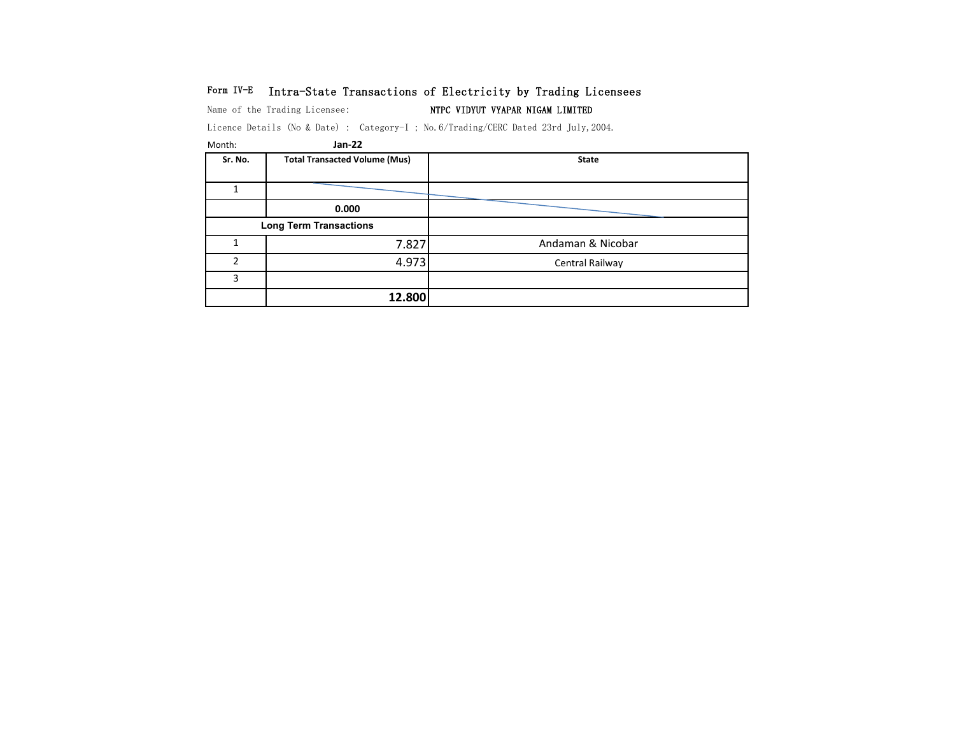## Form IV-E Intra-State Transactions of Electricity by Trading Licensees

Name of the Trading Licensee: NTPC VIDYUT VYAPAR NIGAM LIMITED

Licence Details (No & Date) : Category-I ; No.6/Trading/CERC Dated 23rd July,2004.

| Month:  | Jan-22                               |                   |
|---------|--------------------------------------|-------------------|
| Sr. No. | <b>Total Transacted Volume (Mus)</b> | <b>State</b>      |
|         |                                      |                   |
|         |                                      |                   |
|         | 0.000                                |                   |
|         | <b>Long Term Transactions</b>        |                   |
|         | 7.827                                | Andaman & Nicobar |
| ำ       | 4.973                                | Central Railway   |
| 3       |                                      |                   |
|         | 12.800                               |                   |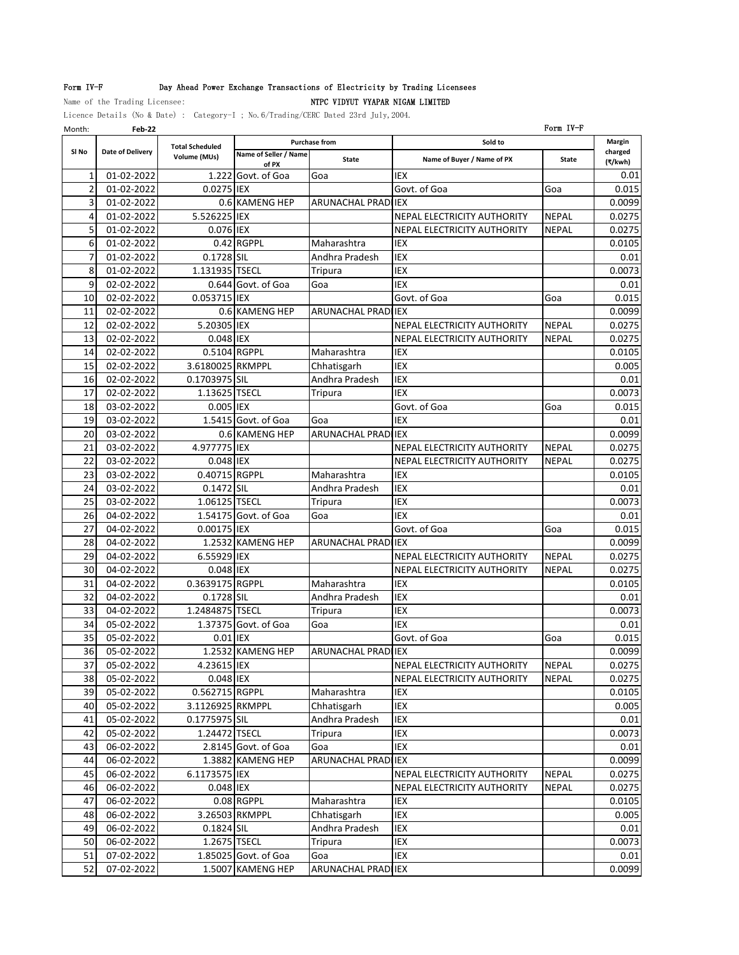## Form IV-F Day Ahead Power Exchange Transactions of Electricity by Trading Licensees

Name of the Trading Licensee: NTPC VIDYUT VYAPAR NIGAM LIMITED

Licence Details (No & Date) : Category-I ; No.6/Trading/CERC Dated 23rd July,2004.

| Month:         | Feb-22           |                        |                                |                            |                             | Form IV-F    |                    |
|----------------|------------------|------------------------|--------------------------------|----------------------------|-----------------------------|--------------|--------------------|
|                |                  | <b>Total Scheduled</b> |                                | <b>Purchase from</b>       | Sold to                     |              | Margin             |
| SI No          | Date of Delivery | Volume (MUs)           | Name of Seller / Name<br>of PX | <b>State</b>               | Name of Buyer / Name of PX  | <b>State</b> | charged<br>(₹/kwh) |
| 1              | 01-02-2022       | 1.222                  | Govt. of Goa                   | Goa                        | IEX                         |              | 0.01               |
| $\overline{2}$ | 01-02-2022       | 0.0275 IEX             |                                |                            | Govt. of Goa                | Goa          | 0.015              |
| 3              | 01-02-2022       |                        | 0.6 KAMENG HEP                 | ARUNACHAL PRADI IEX        |                             |              | 0.0099             |
| 4              | 01-02-2022       | 5.526225 IEX           |                                |                            | NEPAL ELECTRICITY AUTHORITY | <b>NEPAL</b> | 0.0275             |
| 5              | 01-02-2022       | 0.076 IEX              |                                |                            | NEPAL ELECTRICITY AUTHORITY | <b>NEPAL</b> | 0.0275             |
| 6              | 01-02-2022       |                        | 0.42 RGPPL                     | Maharashtra                | IEX                         |              | 0.0105             |
| 7              | 01-02-2022       | 0.1728 SIL             |                                | Andhra Pradesh             | IEX                         |              | 0.01               |
| 8              | 01-02-2022       | 1.131935 TSECL         |                                | Tripura                    | IEX                         |              | 0.0073             |
| 9              | 02-02-2022       |                        | 0.644 Govt. of Goa             | Goa                        | <b>IEX</b>                  |              | 0.01               |
| 10             | 02-02-2022       | 0.053715 IEX           |                                |                            | Govt. of Goa                | Goa          | 0.015              |
| 11             | 02-02-2022       |                        | 0.6 KAMENG HEP                 | ARUNACHAL PRADI IEX        |                             |              | 0.0099             |
| 12             | 02-02-2022       | 5.20305 IEX            |                                |                            | NEPAL ELECTRICITY AUTHORITY | <b>NEPAL</b> | 0.0275             |
| 13             | 02-02-2022       | 0.048 IEX              |                                |                            | NEPAL ELECTRICITY AUTHORITY | <b>NEPAL</b> | 0.0275             |
| 14             | 02-02-2022       | 0.5104 RGPPL           |                                | Maharashtra                | IEX                         |              | 0.0105             |
| 15             | 02-02-2022       | 3.6180025 RKMPPL       |                                | Chhatisgarh                | IEX                         |              | 0.005              |
| 16             | 02-02-2022       | 0.1703975 SIL          |                                | Andhra Pradesh             | IEX                         |              | 0.01               |
| 17             | 02-02-2022       | 1.13625 TSECL          |                                | Tripura                    | <b>IEX</b>                  |              | 0.0073             |
| 18             | 03-02-2022       | 0.005 IEX              |                                |                            | Govt. of Goa                | Goa          | 0.015              |
| 19             | 03-02-2022       |                        | 1.5415 Govt. of Goa            | Goa                        | IEX                         |              | 0.01               |
| 20             | 03-02-2022       |                        | 0.6 KAMENG HEP                 | ARUNACHAL PRADI IEX        |                             |              | 0.0099             |
| 21             | 03-02-2022       | 4.977775 IEX           |                                |                            | NEPAL ELECTRICITY AUTHORITY | <b>NEPAL</b> | 0.0275             |
| 22             | 03-02-2022       | 0.048 IEX              |                                |                            | NEPAL ELECTRICITY AUTHORITY | <b>NEPAL</b> | 0.0275             |
| 23             | 03-02-2022       | 0.40715 RGPPL          |                                | Maharashtra                | <b>IEX</b>                  |              | 0.0105             |
| 24             | 03-02-2022       | 0.1472 SIL             |                                | Andhra Pradesh             | IEX                         |              | 0.01               |
| 25             | 03-02-2022       | 1.06125 TSECL          |                                | Tripura                    | IEX                         |              | 0.0073             |
| 26             | 04-02-2022       |                        | 1.54175 Govt. of Goa           | Goa                        | <b>IEX</b>                  |              | 0.01               |
| 27             | 04-02-2022       | 0.00175 IEX            |                                |                            | Govt. of Goa                | Goa          | 0.015              |
| 28             | 04-02-2022       |                        | 1.2532 KAMENG HEP              | <b>ARUNACHAL PRADI IEX</b> |                             |              | 0.0099             |
| 29             | 04-02-2022       | 6.55929 IEX            |                                |                            | NEPAL ELECTRICITY AUTHORITY | <b>NEPAL</b> | 0.0275             |
| 30             | 04-02-2022       | 0.048 IEX              |                                |                            | NEPAL ELECTRICITY AUTHORITY | <b>NEPAL</b> | 0.0275             |
| 31             | 04-02-2022       | 0.3639175 RGPPL        |                                | Maharashtra                | <b>IEX</b>                  |              | 0.0105             |
| 32             | 04-02-2022       | 0.1728 SIL             |                                | Andhra Pradesh             | IEX                         |              | 0.01               |
| 33             | 04-02-2022       | 1.2484875 TSECL        |                                | <b>Tripura</b>             | IEX                         |              | 0.0073             |
| 34             | 05-02-2022       |                        | 1.37375 Govt. of Goa           | Goa                        | <b>IEX</b>                  |              | 0.01               |
| 35             | 05-02-2022       | 0.01 IEX               |                                |                            | Govt. of Goa                | Goa          | 0.015              |
| 36             | 05-02-2022       |                        | 1.2532 KAMENG HEP              | <b>ARUNACHAL PRADIJEX</b>  |                             |              | 0.0099             |
| 37             | 05-02-2022       | 4.23615 IEX            |                                |                            | NEPAL ELECTRICITY AUTHORITY | <b>NEPAL</b> | 0.0275             |
| 38             | 05-02-2022       | 0.048 IEX              |                                |                            | NEPAL ELECTRICITY AUTHORITY | NEPAL        | 0.0275             |
| 39             | 05-02-2022       | 0.562715 RGPPL         |                                | Maharashtra                | IEX                         |              | 0.0105             |
| 40             | $05 - 02 - 2022$ | 3.1126925 RKMPPL       |                                | Chhatisgarh                | IEX                         |              | 0.005              |
| 41             | 05-02-2022       | 0.1775975 SIL          |                                | Andhra Pradesh             | IEX                         |              | 0.01               |
| 42             | 05-02-2022       | 1.24472 TSECL          |                                | Tripura                    | IEX                         |              | 0.0073             |
| 43             | 06-02-2022       |                        | 2.8145 Govt. of Goa            | Goa                        | IEX                         |              | 0.01               |
| 44             | 06-02-2022       |                        | 1.3882 KAMENG HEP              | ARUNACHAL PRADI IEX        |                             |              | 0.0099             |
| 45             | 06-02-2022       | 6.1173575 IEX          |                                |                            | NEPAL ELECTRICITY AUTHORITY | <b>NEPAL</b> | 0.0275             |
| 46             | 06-02-2022       | 0.048 IEX              |                                |                            | NEPAL ELECTRICITY AUTHORITY | <b>NEPAL</b> | 0.0275             |
| 47             | 06-02-2022       |                        | 0.08 RGPPL                     | Maharashtra                | IEX                         |              | 0.0105             |
| 48             | 06-02-2022       |                        | 3.26503 RKMPPL                 | Chhatisgarh                | IEX                         |              | 0.005              |
| 49             | 06-02-2022       | 0.1824 SIL             |                                | Andhra Pradesh             | IEX                         |              | 0.01               |
| 50             | 06-02-2022       | 1.2675 TSECL           |                                | Tripura                    | IEX                         |              | 0.0073             |
| 51             | 07-02-2022       |                        | 1.85025 Govt. of Goa           | Goa                        | IEX                         |              | 0.01               |
| 52             | 07-02-2022       |                        | 1.5007 KAMENG HEP              | ARUNACHAL PRADI IEX        |                             |              | 0.0099             |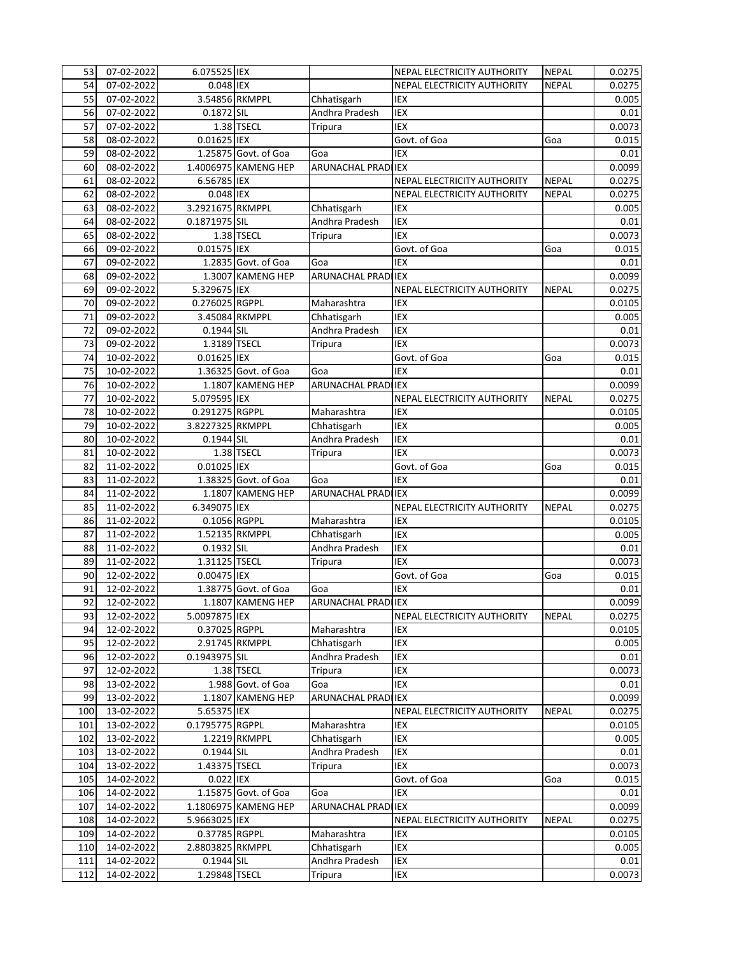| 53  | 07-02-2022 | 6.075525 IEX     |                      |                            | NEPAL ELECTRICITY AUTHORITY        | <b>NEPAL</b> | 0.0275 |
|-----|------------|------------------|----------------------|----------------------------|------------------------------------|--------------|--------|
| 54  | 07-02-2022 | 0.048 IEX        |                      |                            | <b>NEPAL ELECTRICITY AUTHORITY</b> | <b>NEPAL</b> | 0.0275 |
| 55  | 07-02-2022 |                  | 3.54856 RKMPPL       | Chhatisgarh                | <b>IEX</b>                         |              | 0.005  |
| 56  | 07-02-2022 | 0.1872 SIL       |                      | Andhra Pradesh             | <b>IEX</b>                         |              | 0.01   |
| 57  | 07-02-2022 |                  | 1.38 TSECL           | Tripura                    | <b>IEX</b>                         |              | 0.0073 |
| 58  | 08-02-2022 | 0.01625 IEX      |                      |                            | Govt. of Goa                       | Goa          | 0.015  |
| 59  | 08-02-2022 |                  | 1.25875 Govt. of Goa | Goa                        | IEX                                |              | 0.01   |
| 60  | 08-02-2022 |                  | 1.4006975 KAMENG HEP | ARUNACHAL PRADI IEX        |                                    |              | 0.0099 |
| 61  | 08-02-2022 | 6.56785 IEX      |                      |                            | NEPAL ELECTRICITY AUTHORITY        | <b>NEPAL</b> | 0.0275 |
| 62  | 08-02-2022 | 0.048 IEX        |                      |                            | NEPAL ELECTRICITY AUTHORITY        | <b>NEPAL</b> | 0.0275 |
|     | 08-02-2022 | 3.2921675 RKMPPL |                      |                            | <b>IEX</b>                         |              |        |
| 63  |            |                  |                      | Chhatisgarh                |                                    |              | 0.005  |
| 64  | 08-02-2022 | 0.1871975 SIL    |                      | Andhra Pradesh             | IEX                                |              | 0.01   |
| 65  | 08-02-2022 |                  | 1.38 TSECL           | Tripura                    | <b>IEX</b>                         |              | 0.0073 |
| 66  | 09-02-2022 | 0.01575 IEX      |                      |                            | Govt. of Goa                       | Goa          | 0.015  |
| 67  | 09-02-2022 |                  | 1.2835 Govt. of Goa  | Goa                        | <b>IEX</b>                         |              | 0.01   |
| 68  | 09-02-2022 |                  | 1.3007 KAMENG HEP    | <b>ARUNACHAL PRADI IEX</b> |                                    |              | 0.0099 |
| 69  | 09-02-2022 | 5.329675 IEX     |                      |                            | NEPAL ELECTRICITY AUTHORITY        | <b>NEPAL</b> | 0.0275 |
| 70  | 09-02-2022 | 0.276025 RGPPL   |                      | Maharashtra                | IEX                                |              | 0.0105 |
| 71  | 09-02-2022 |                  | 3.45084 RKMPPL       | Chhatisgarh                | <b>IEX</b>                         |              | 0.005  |
| 72  | 09-02-2022 | 0.1944 SIL       |                      | Andhra Pradesh             | IEX                                |              | 0.01   |
| 73  | 09-02-2022 | 1.3189 TSECL     |                      | Tripura                    | <b>IEX</b>                         |              | 0.0073 |
| 74  | 10-02-2022 | 0.01625 IEX      |                      |                            | Govt. of Goa                       | Goa          | 0.015  |
| 75  | 10-02-2022 |                  | 1.36325 Govt. of Goa | Goa                        | IEX                                |              | 0.01   |
| 76  | 10-02-2022 |                  | 1.1807 KAMENG HEP    | ARUNACHAL PRADI IEX        |                                    |              | 0.0099 |
| 77  | 10-02-2022 | 5.079595 IEX     |                      |                            | NEPAL ELECTRICITY AUTHORITY        | <b>NEPAL</b> | 0.0275 |
| 78  | 10-02-2022 | 0.291275 RGPPL   |                      | Maharashtra                | IEX                                |              | 0.0105 |
| 79  | 10-02-2022 | 3.8227325 RKMPPL |                      | Chhatisgarh                | <b>IEX</b>                         |              | 0.005  |
| 80  | 10-02-2022 | 0.1944 SIL       |                      | Andhra Pradesh             | <b>IEX</b>                         |              | 0.01   |
| 81  | 10-02-2022 |                  | 1.38 TSECL           | <b>Tripura</b>             | <b>IEX</b>                         |              | 0.0073 |
| 82  | 11-02-2022 | 0.01025 IEX      |                      |                            | Govt. of Goa                       | Goa          | 0.015  |
| 83  | 11-02-2022 |                  | 1.38325 Govt. of Goa | Goa                        | <b>IEX</b>                         |              | 0.01   |
|     |            |                  |                      |                            |                                    |              |        |
| 84  | 11-02-2022 |                  | 1.1807 KAMENG HEP    | <b>ARUNACHAL PRADI</b>     | <b>IEX</b>                         |              | 0.0099 |
| 85  | 11-02-2022 | 6.349075 IEX     |                      |                            | NEPAL ELECTRICITY AUTHORITY        | <b>NEPAL</b> | 0.0275 |
| 86  | 11-02-2022 | 0.1056 RGPPL     |                      | Maharashtra                | IEX                                |              | 0.0105 |
| 87  | 11-02-2022 |                  | 1.52135 RKMPPL       | Chhatisgarh                | IEX                                |              | 0.005  |
| 88  | 11-02-2022 | 0.1932 SIL       |                      | Andhra Pradesh             | <b>IEX</b>                         |              | 0.01   |
| 89  | 11-02-2022 | 1.31125 TSECL    |                      | Tripura                    | <b>IEX</b>                         |              | 0.0073 |
| 90  | 12-02-2022 | 0.00475 IEX      |                      |                            | Govt. of Goa                       | Goa          | 0.015  |
| 91  | 12-02-2022 |                  | 1.38775 Govt. of Goa | Goa                        | <b>IEX</b>                         |              | 0.01   |
| 92  | 12-02-2022 |                  | 1.1807 KAMENG HEP    | ARUNACHAL PRAD IEX         |                                    |              | 0.0099 |
| 93  | 12-02-2022 | 5.0097875 IEX    |                      |                            | NEPAL ELECTRICITY AUTHORITY        | <b>NEPAL</b> | 0.0275 |
| 94  | 12-02-2022 | 0.37025 RGPPL    |                      | Maharashtra                | IEX                                |              | 0.0105 |
| 95  | 12-02-2022 |                  | 2.91745 RKMPPL       | Chhatisgarh                | IEX                                |              | 0.005  |
| 96  | 12-02-2022 | 0.1943975 SIL    |                      | Andhra Pradesh             | IEX                                |              | 0.01   |
| 97  | 12-02-2022 |                  | 1.38 TSECL           | Tripura                    | IEX                                |              | 0.0073 |
| 98  | 13-02-2022 |                  | 1.988 Govt. of Goa   | Goa                        | IEX                                |              | 0.01   |
| 99  | 13-02-2022 |                  | 1.1807 KAMENG HEP    | <b>ARUNACHAL PRAD</b>      | <b>IEX</b>                         |              | 0.0099 |
| 100 | 13-02-2022 | 5.65375 IEX      |                      |                            | NEPAL ELECTRICITY AUTHORITY        | <b>NEPAL</b> | 0.0275 |
| 101 | 13-02-2022 | 0.1795775 RGPPL  |                      | Maharashtra                | IEX                                |              | 0.0105 |
| 102 | 13-02-2022 |                  | 1.2219 RKMPPL        | Chhatisgarh                | IEX                                |              | 0.005  |
| 103 | 13-02-2022 | 0.1944 SIL       |                      | Andhra Pradesh             | IEX                                |              | 0.01   |
| 104 | 13-02-2022 | 1.43375 TSECL    |                      | <b>Tripura</b>             | <b>IEX</b>                         |              | 0.0073 |
| 105 | 14-02-2022 | 0.022 IEX        |                      |                            | Govt. of Goa                       | Goa          | 0.015  |
| 106 | 14-02-2022 |                  | 1.15875 Govt. of Goa | Goa                        | IEX                                |              | 0.01   |
|     |            |                  |                      |                            |                                    |              |        |
| 107 | 14-02-2022 |                  | 1.1806975 KAMENG HEP | <b>ARUNACHAL PRAD</b>      | <b>IEX</b>                         |              | 0.0099 |
| 108 | 14-02-2022 | 5.9663025 IEX    |                      |                            | NEPAL ELECTRICITY AUTHORITY        | <b>NEPAL</b> | 0.0275 |
| 109 | 14-02-2022 | 0.37785 RGPPL    |                      | Maharashtra                | IEX                                |              | 0.0105 |
| 110 | 14-02-2022 | 2.8803825 RKMPPL |                      | Chhatisgarh                | IEX                                |              | 0.005  |
| 111 | 14-02-2022 | 0.1944 SIL       |                      | Andhra Pradesh             | IEX                                |              | 0.01   |
| 112 | 14-02-2022 | 1.29848 TSECL    |                      | Tripura                    | IEX                                |              | 0.0073 |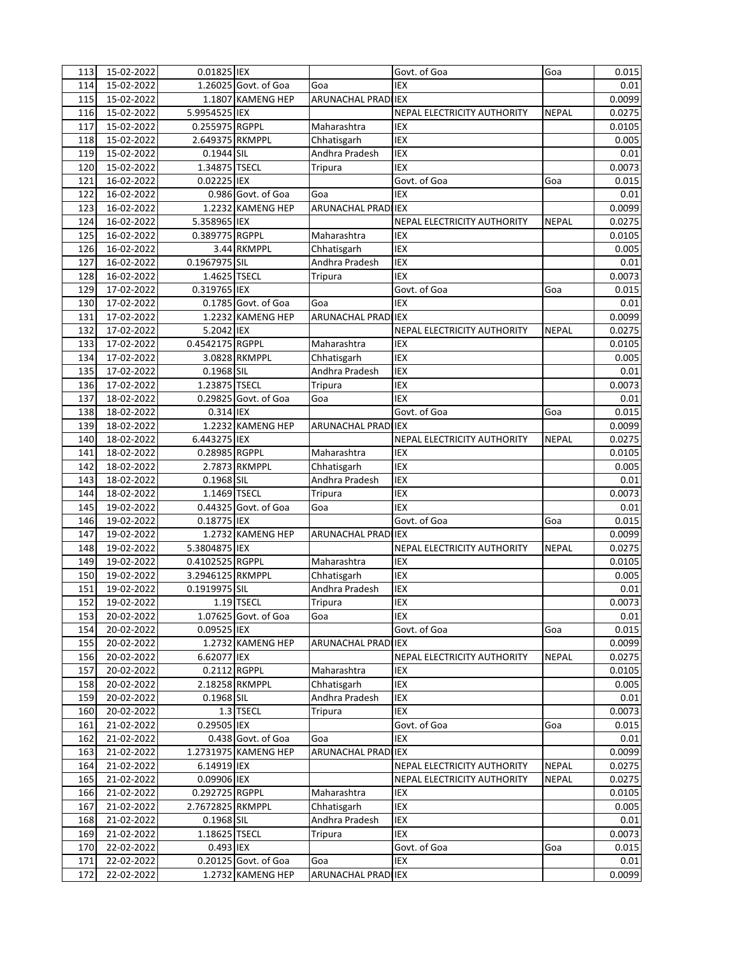| 113        | 15-02-2022               | 0.01825 IEX                |                      |                            | Govt. of Goa                | Goa          | 0.015         |
|------------|--------------------------|----------------------------|----------------------|----------------------------|-----------------------------|--------------|---------------|
| 114        | 15-02-2022               |                            | 1.26025 Govt. of Goa | Goa                        | <b>IEX</b>                  |              | 0.01          |
| 115        | 15-02-2022               |                            | 1.1807 KAMENG HEP    | ARUNACHAL PRADI IEX        |                             |              | 0.0099        |
| 116        | 15-02-2022               | 5.9954525 IEX              |                      |                            | NEPAL ELECTRICITY AUTHORITY | <b>NEPAL</b> | 0.0275        |
| 117        | 15-02-2022               | 0.255975 RGPPL             |                      | Maharashtra                | IEX                         |              | 0.0105        |
| 118        | 15-02-2022               | 2.649375 RKMPPL            |                      | Chhatisgarh                | <b>IEX</b>                  |              | 0.005         |
| 119        | 15-02-2022               | 0.1944 SIL                 |                      | Andhra Pradesh             | IEX                         |              | 0.01          |
| 120        | 15-02-2022               | 1.34875 TSECL              |                      | Tripura                    | IEX                         |              | 0.0073        |
| 121        | 16-02-2022               | 0.02225 IEX                |                      |                            | Govt. of Goa                | Goa          | 0.015         |
| 122        | 16-02-2022               |                            | 0.986 Govt. of Goa   | Goa                        | IEX                         |              | 0.01          |
| 123        | 16-02-2022               |                            | 1.2232 KAMENG HEP    | <b>ARUNACHAL PRADI IEX</b> |                             |              | 0.0099        |
| 124        | 16-02-2022               | 5.358965 IEX               |                      |                            | NEPAL ELECTRICITY AUTHORITY | <b>NEPAL</b> | 0.0275        |
| 125        | 16-02-2022               | 0.389775 RGPPL             |                      | Maharashtra                | <b>IEX</b>                  |              | 0.0105        |
| 126        | 16-02-2022               |                            | 3.44 RKMPPL          | Chhatisgarh                | IEX                         |              | 0.005         |
| 127        | 16-02-2022               | 0.1967975 SIL              |                      | Andhra Pradesh             | <b>IEX</b>                  |              | 0.01          |
| 128        | 16-02-2022               | 1.4625 TSECL               |                      | Tripura                    | <b>IEX</b>                  |              | 0.0073        |
| 129        | 17-02-2022               | 0.319765 IEX               |                      |                            | Govt. of Goa                | Goa          | 0.015         |
| 130        | 17-02-2022               |                            | 0.1785 Govt. of Goa  | Goa                        | IEX                         |              | 0.01          |
| 131        | 17-02-2022               |                            | 1.2232 KAMENG HEP    | <b>ARUNACHAL PRADILEX</b>  |                             |              | 0.0099        |
| 132        | 17-02-2022               | 5.2042 IEX                 |                      |                            | NEPAL ELECTRICITY AUTHORITY | <b>NEPAL</b> | 0.0275        |
| 133        | 17-02-2022               | 0.4542175 RGPPL            |                      | Maharashtra                | IEX                         |              | 0.0105        |
| 134        | 17-02-2022               |                            | 3.0828 RKMPPL        | Chhatisgarh                | IEX                         |              | 0.005         |
| 135        | 17-02-2022               | 0.1968 SIL                 |                      | Andhra Pradesh             | IEX                         |              | 0.01          |
| 136        | 17-02-2022               | 1.23875 TSECL              |                      | Tripura                    | IEX                         |              | 0.0073        |
| 137        | 18-02-2022               |                            | 0.29825 Govt. of Goa | Goa                        | <b>IEX</b>                  |              | 0.01          |
| 138        | 18-02-2022               | 0.314 IEX                  |                      |                            | Govt. of Goa                | Goa          | 0.015         |
| 139        | 18-02-2022               |                            | 1.2232 KAMENG HEP    | ARUNACHAL PRADI IEX        |                             |              | 0.0099        |
| 140        | 18-02-2022               | 6.443275 IEX               |                      |                            | NEPAL ELECTRICITY AUTHORITY | <b>NEPAL</b> | 0.0275        |
| 141        | 18-02-2022               | 0.28985 RGPPL              |                      | Maharashtra                | <b>IEX</b>                  |              | 0.0105        |
| 142        | 18-02-2022               |                            | 2.7873 RKMPPL        | Chhatisgarh                | <b>IEX</b>                  |              | 0.005         |
| 143        | 18-02-2022               | 0.1968 SIL                 |                      | Andhra Pradesh             | IEX                         |              | 0.01          |
| 144        | 18-02-2022               | 1.1469 TSECL               |                      | <b>Tripura</b>             | IEX                         |              | 0.0073        |
| 145        | 19-02-2022               |                            | 0.44325 Govt. of Goa | Goa                        | IEX                         |              | 0.01          |
| 146        | 19-02-2022               | 0.18775 IEX                |                      |                            | Govt. of Goa                | Goa          | 0.015         |
| 147        | 19-02-2022               |                            | 1.2732 KAMENG HEP    | ARUNACHAL PRADI IEX        |                             |              | 0.0099        |
| 148        | 19-02-2022               | 5.3804875 IEX              |                      |                            | NEPAL ELECTRICITY AUTHORITY | <b>NEPAL</b> | 0.0275        |
| 149        | 19-02-2022               | 0.4102525 RGPPL            |                      | Maharashtra                | IEX                         |              | 0.0105        |
| 150        | 19-02-2022               | 3.2946125 RKMPPL           |                      | Chhatisgarh                | <b>IEX</b>                  |              | 0.005         |
| 151        | 19-02-2022               | 0.1919975 SIL              |                      | Andhra Pradesh             | IEX                         |              | 0.01          |
| 152        | 19-02-2022               |                            | 1.19 TSECL           | Tripura                    | <b>IEX</b>                  |              | 0.0073        |
| 153        | 20-02-2022               |                            | 1.07625 Govt. of Goa | Goa                        | IEX                         |              | 0.01          |
| 154        | 20-02-2022               | 0.09525 IEX                |                      |                            | Govt. of Goa                | Goa          | 0.015         |
| 155        | 20-02-2022               |                            | 1.2732 KAMENG HEP    | ARUNACHAL PRADI IEX        |                             |              | 0.0099        |
| 156        | 20-02-2022               | 6.62077 IEX                |                      |                            | NEPAL ELECTRICITY AUTHORITY | <b>NEPAL</b> | 0.0275        |
| 157        | 20-02-2022               | 0.2112 RGPPL               |                      | Maharashtra                | IEX                         |              | 0.0105        |
| 158        | 20-02-2022               |                            | 2.18258 RKMPPL       | Chhatisgarh                | IEX                         |              | 0.005         |
| 159        | 20-02-2022               | 0.1968 SIL                 |                      | Andhra Pradesh             | IEX                         |              | 0.01          |
| 160        | 20-02-2022               |                            | 1.3 TSECL            | <b>Tripura</b>             | IEX                         |              | 0.0073        |
| 161        | 21-02-2022               | 0.29505 IEX                |                      |                            | Govt. of Goa                | Goa          | 0.015         |
| 162        | 21-02-2022               |                            | 0.438 Govt. of Goa   | Goa                        | IEX                         |              | 0.01          |
| 163        | 21-02-2022               |                            | 1.2731975 KAMENG HEP | ARUNACHAL PRADI IEX        |                             |              | 0.0099        |
| 164        | 21-02-2022               | 6.14919 IEX                |                      |                            | NEPAL ELECTRICITY AUTHORITY | <b>NEPAL</b> | 0.0275        |
| 165        | 21-02-2022               | 0.09906 IEX                |                      |                            | NEPAL ELECTRICITY AUTHORITY | <b>NEPAL</b> | 0.0275        |
| 166        | 21-02-2022               | 0.292725 RGPPL             |                      | Maharashtra                | IEX<br>IEX                  |              | 0.0105        |
| 167        | 21-02-2022               | 2.7672825 RKMPPL           |                      | Chhatisgarh                |                             |              | 0.005         |
| 168        | 21-02-2022               | 0.1968 SIL                 |                      | Andhra Pradesh             | IEX                         |              | 0.01          |
| 169        | 21-02-2022               | 1.18625 TSECL<br>0.493 IEX |                      | <b>Tripura</b>             | IEX<br>Govt. of Goa         |              | 0.0073        |
| 170<br>171 | 22-02-2022<br>22-02-2022 |                            | 0.20125 Govt. of Goa | Goa                        | IEX                         | Goa          | 0.015<br>0.01 |
| 172        | 22-02-2022               |                            | 1.2732 KAMENG HEP    | ARUNACHAL PRADI IEX        |                             |              | 0.0099        |
|            |                          |                            |                      |                            |                             |              |               |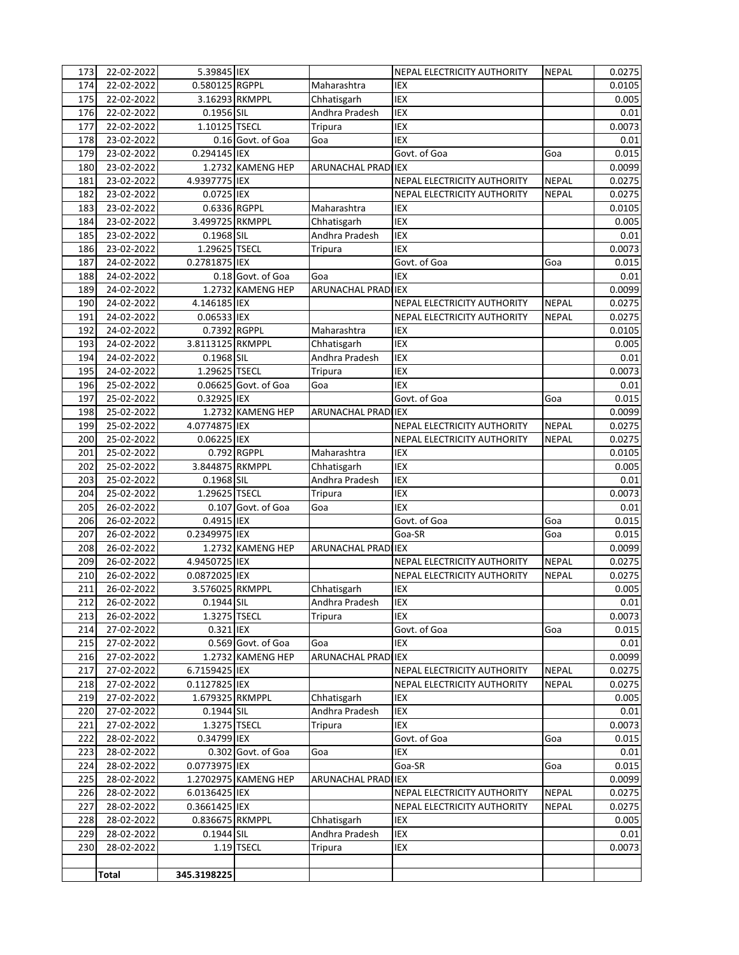| 173 | 22-02-2022   | 5.39845 IEX      |                      |                            | NEPAL ELECTRICITY AUTHORITY        | <b>NEPAL</b> | 0.0275 |
|-----|--------------|------------------|----------------------|----------------------------|------------------------------------|--------------|--------|
| 174 | 22-02-2022   | 0.580125 RGPPL   |                      | Maharashtra                | <b>IEX</b>                         |              | 0.0105 |
| 175 | 22-02-2022   |                  | 3.16293 RKMPPL       | Chhatisgarh                | IEX                                |              | 0.005  |
| 176 | 22-02-2022   | 0.1956 SIL       |                      | Andhra Pradesh             | <b>IEX</b>                         |              | 0.01   |
| 177 | 22-02-2022   | 1.10125 TSECL    |                      | Tripura                    | <b>IEX</b>                         |              | 0.0073 |
| 178 | 23-02-2022   |                  | 0.16 Govt. of Goa    | Goa                        | <b>IEX</b>                         |              | 0.01   |
| 179 | 23-02-2022   | 0.294145 IEX     |                      |                            | Govt. of Goa                       | Goa          | 0.015  |
| 180 | 23-02-2022   |                  | 1.2732 KAMENG HEP    | ARUNACHAL PRADI IEX        |                                    |              | 0.0099 |
| 181 | 23-02-2022   | 4.9397775 IEX    |                      |                            | NEPAL ELECTRICITY AUTHORITY        | <b>NEPAL</b> | 0.0275 |
| 182 | 23-02-2022   | 0.0725 IEX       |                      |                            | NEPAL ELECTRICITY AUTHORITY        | <b>NEPAL</b> | 0.0275 |
| 183 | 23-02-2022   | 0.6336 RGPPL     |                      | Maharashtra                | <b>IEX</b>                         |              | 0.0105 |
| 184 | 23-02-2022   | 3.499725 RKMPPL  |                      | Chhatisgarh                | <b>IEX</b>                         |              | 0.005  |
| 185 | 23-02-2022   | 0.1968 SIL       |                      | Andhra Pradesh             | <b>IEX</b>                         |              | 0.01   |
| 186 | 23-02-2022   | 1.29625 TSECL    |                      | Tripura                    | <b>IEX</b>                         |              | 0.0073 |
| 187 | 24-02-2022   | 0.2781875 IEX    |                      |                            | Govt. of Goa                       | Goa          | 0.015  |
| 188 | 24-02-2022   |                  | 0.18 Govt. of Goa    | Goa                        | <b>IEX</b>                         |              | 0.01   |
| 189 |              |                  | 1.2732 KAMENG HEP    | ARUNACHAL PRADI IEX        |                                    |              |        |
|     | 24-02-2022   |                  |                      |                            |                                    |              | 0.0099 |
| 190 | 24-02-2022   | 4.146185 IEX     |                      |                            | NEPAL ELECTRICITY AUTHORITY        | <b>NEPAL</b> | 0.0275 |
| 191 | 24-02-2022   | 0.06533 IEX      |                      |                            | NEPAL ELECTRICITY AUTHORITY        | <b>NEPAL</b> | 0.0275 |
| 192 | 24-02-2022   | 0.7392 RGPPL     |                      | Maharashtra                | IEX                                |              | 0.0105 |
| 193 | 24-02-2022   | 3.8113125 RKMPPL |                      | Chhatisgarh                | <b>IEX</b>                         |              | 0.005  |
| 194 | 24-02-2022   | 0.1968 SIL       |                      | Andhra Pradesh             | <b>IEX</b>                         |              | 0.01   |
| 195 | 24-02-2022   | 1.29625 TSECL    |                      | Tripura                    | <b>IEX</b>                         |              | 0.0073 |
| 196 | 25-02-2022   |                  | 0.06625 Govt. of Goa | Goa                        | <b>IEX</b>                         |              | 0.01   |
| 197 | 25-02-2022   | 0.32925 IEX      |                      |                            | Govt. of Goa                       | Goa          | 0.015  |
| 198 | 25-02-2022   |                  | 1.2732 KAMENG HEP    | <b>ARUNACHAL PRADI IEX</b> |                                    |              | 0.0099 |
| 199 | 25-02-2022   | 4.0774875 IEX    |                      |                            | NEPAL ELECTRICITY AUTHORITY        | <b>NEPAL</b> | 0.0275 |
| 200 | 25-02-2022   | $0.06225$ IEX    |                      |                            | NEPAL ELECTRICITY AUTHORITY        | <b>NEPAL</b> | 0.0275 |
| 201 | 25-02-2022   |                  | 0.792 RGPPL          | Maharashtra                | <b>IEX</b>                         |              | 0.0105 |
| 202 | 25-02-2022   | 3.844875 RKMPPL  |                      | Chhatisgarh                | <b>IEX</b>                         |              | 0.005  |
| 203 | 25-02-2022   | 0.1968 SIL       |                      | Andhra Pradesh             | <b>IEX</b>                         |              | 0.01   |
| 204 | 25-02-2022   | 1.29625 TSECL    |                      | Tripura                    | IEX                                |              | 0.0073 |
| 205 | 26-02-2022   |                  | 0.107 Govt. of Goa   | Goa                        | <b>IEX</b>                         |              | 0.01   |
| 206 | 26-02-2022   | 0.4915 IEX       |                      |                            | Govt. of Goa                       | Goa          | 0.015  |
| 207 | 26-02-2022   | 0.2349975 IEX    |                      |                            | Goa-SR                             | Goa          | 0.015  |
| 208 | 26-02-2022   |                  | 1.2732 KAMENG HEP    | ARUNACHAL PRADI IEX        |                                    |              | 0.0099 |
| 209 | 26-02-2022   | 4.9450725 IEX    |                      |                            | NEPAL ELECTRICITY AUTHORITY        | <b>NEPAL</b> | 0.0275 |
| 210 | 26-02-2022   | 0.0872025 IEX    |                      |                            | <b>NEPAL ELECTRICITY AUTHORITY</b> | <b>NEPAL</b> | 0.0275 |
| 211 | 26-02-2022   | 3.576025 RKMPPL  |                      | Chhatisgarh                | IEX                                |              | 0.005  |
| 212 | 26-02-2022   | 0.1944 SIL       |                      | Andhra Pradesh             | <b>IEX</b>                         |              | 0.01   |
| 213 | 26-02-2022   | 1.3275 TSECL     |                      | Tripura                    | IEX                                |              | 0.0073 |
| 214 | 27-02-2022   | 0.321 IEX        |                      |                            | Govt. of Goa                       | Goa          | 0.015  |
| 215 | 27-02-2022   |                  | 0.569 Govt. of Goa   | Goa                        | IEX                                |              | 0.01   |
| 216 | 27-02-2022   |                  | 1.2732 KAMENG HEP    | ARUNACHAL PRADI IEX        |                                    |              | 0.0099 |
| 217 | 27-02-2022   | 6.7159425 IEX    |                      |                            | NEPAL ELECTRICITY AUTHORITY        | <b>NEPAL</b> | 0.0275 |
| 218 | 27-02-2022   | 0.1127825 IEX    |                      |                            | NEPAL ELECTRICITY AUTHORITY        | <b>NEPAL</b> | 0.0275 |
| 219 | 27-02-2022   | 1.679325 RKMPPL  |                      | Chhatisgarh                | IEX                                |              | 0.005  |
| 220 | 27-02-2022   | 0.1944 SIL       |                      | Andhra Pradesh             | IEX                                |              | 0.01   |
| 221 | 27-02-2022   | 1.3275 TSECL     |                      | Tripura                    | IEX                                |              | 0.0073 |
| 222 | 28-02-2022   | 0.34799 IEX      |                      |                            | Govt. of Goa                       | Goa          | 0.015  |
| 223 | 28-02-2022   |                  | 0.302 Govt. of Goa   | Goa                        | IEX                                |              | 0.01   |
| 224 | 28-02-2022   | 0.0773975 IEX    |                      |                            | Goa-SR                             | Goa          | 0.015  |
| 225 | 28-02-2022   |                  | 1.2702975 KAMENG HEP | ARUNACHAL PRADI IEX        |                                    |              | 0.0099 |
|     |              |                  |                      |                            |                                    |              |        |
| 226 | 28-02-2022   | 6.0136425 IEX    |                      |                            | NEPAL ELECTRICITY AUTHORITY        | <b>NEPAL</b> | 0.0275 |
| 227 | 28-02-2022   | 0.3661425 IEX    |                      |                            | NEPAL ELECTRICITY AUTHORITY        | <b>NEPAL</b> | 0.0275 |
| 228 | 28-02-2022   | 0.836675 RKMPPL  |                      | Chhatisgarh                | IEX                                |              | 0.005  |
| 229 | 28-02-2022   | 0.1944 SIL       |                      | Andhra Pradesh             | IEX                                |              | 0.01   |
| 230 | 28-02-2022   |                  | 1.19 TSECL           | Tripura                    | IEX                                |              | 0.0073 |
|     |              |                  |                      |                            |                                    |              |        |
|     | <b>Total</b> | 345.3198225      |                      |                            |                                    |              |        |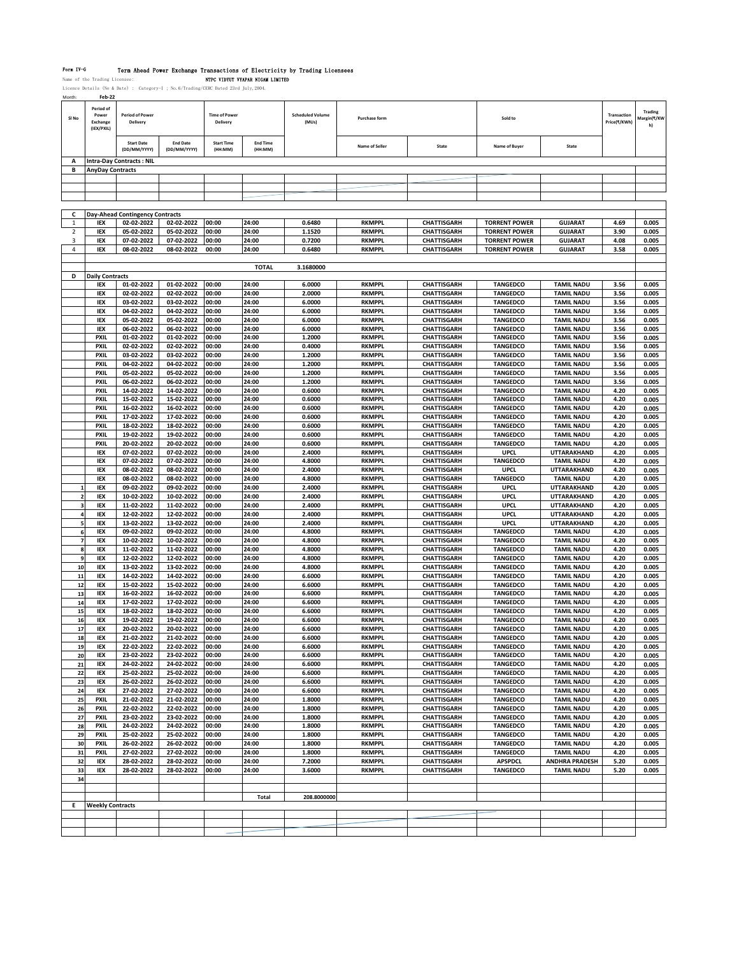Form TV-G Term Ahead Power Exchange Transactions of Electricity by Trading Licensees<br>Name of the Trading Licensee: NTPC VIDYUV VYAPAR NIGAM LIMITED<br>Licence Details (No & Date) : Category-I ; No.6/Trading/CERC Dated 23rd Ju

| Month            | <b>Feb-22</b>                                |                                    |                                 |                                  |                            |                                  |                      |                     |                      |                       |                             |                                     |
|------------------|----------------------------------------------|------------------------------------|---------------------------------|----------------------------------|----------------------------|----------------------------------|----------------------|---------------------|----------------------|-----------------------|-----------------------------|-------------------------------------|
| SI <sub>No</sub> | Period of<br>Power<br>Exchange<br>(IEX/PXIL) | <b>Period of Power</b><br>Delivery |                                 | <b>Time of Power</b><br>Delivery |                            | <b>Scheduled Volume</b><br>(MUs) | <b>Purchase form</b> |                     | Sold to              |                       | Transaction<br>Price(₹/KWh) | <b>Trading</b><br>Aargin(₹/KW<br>h) |
|                  |                                              | <b>Start Date</b><br>(DD/MM/YYYY)  | <b>End Date</b><br>(DD/MM/YYYY) | <b>Start Time</b><br>(HH:MM)     | <b>End Time</b><br>(HH:MM) |                                  | Name of Seller       | State               | Name of Buyer        | State                 |                             |                                     |
| A                |                                              | <b>Intra-Day Contracts: NIL</b>    |                                 |                                  |                            |                                  |                      |                     |                      |                       |                             |                                     |
| В                | <b>AnyDay Contracts</b>                      |                                    |                                 |                                  |                            |                                  |                      |                     |                      |                       |                             |                                     |
|                  |                                              |                                    |                                 |                                  |                            |                                  |                      |                     |                      |                       |                             |                                     |
|                  |                                              |                                    |                                 |                                  |                            |                                  |                      |                     |                      |                       |                             |                                     |
|                  |                                              |                                    |                                 |                                  |                            |                                  |                      |                     |                      |                       |                             |                                     |
|                  |                                              |                                    |                                 |                                  |                            |                                  |                      |                     |                      |                       |                             |                                     |
| с                |                                              | Day-Ahead Contingency Contracts    |                                 |                                  |                            |                                  |                      |                     |                      |                       |                             |                                     |
| $\mathbf{1}$     | IEX                                          | 02-02-2022                         | 02-02-2022                      | 00:00                            | 24:00                      | 0.6480                           | <b>RKMPPL</b>        | <b>CHATTISGARH</b>  | <b>TORRENT POWER</b> | <b>GUJARAT</b>        | 4.69                        | 0.005                               |
| $\overline{2}$   | IEX                                          | 05-02-2022                         | 05-02-2022                      | 00:00                            | 24:00                      | 1.1520                           | <b>RKMPPL</b>        | <b>CHATTISGARH</b>  | <b>TORRENT POWER</b> | <b>GUJARAT</b>        | 3.90                        | 0.005                               |
| 3                | IEX                                          | 07-02-2022                         | 07-02-2022                      | 00:00                            | 24:00                      | 0.7200                           | <b>RKMPPL</b>        | <b>CHATTISGARH</b>  | <b>TORRENT POWER</b> | <b>GUJARAT</b>        | 4.08                        | 0.005                               |
| 4                | IEX                                          | 08-02-2022                         | 08-02-2022                      | 00:00                            | 24:00                      | 0.6480                           | <b>RKMPPL</b>        | <b>CHATTISGARH</b>  | <b>TORRENT POWER</b> | <b>GUJARAT</b>        | 3.58                        | 0.005                               |
|                  |                                              |                                    |                                 |                                  |                            |                                  |                      |                     |                      |                       |                             |                                     |
|                  |                                              |                                    |                                 |                                  | <b>TOTAL</b>               | 3.1680000                        |                      |                     |                      |                       |                             |                                     |
| D                | <b>Daily Contracts</b>                       |                                    |                                 |                                  |                            |                                  |                      |                     |                      |                       |                             |                                     |
|                  | IEX                                          | 01-02-2022                         | 01-02-2022                      | 00:00                            | 24:00                      | 6.0000                           | <b>RKMPPL</b>        | <b>CHATTISGARH</b>  | <b>TANGEDCO</b>      | <b>TAMIL NADU</b>     | 3.56                        | 0.005                               |
|                  | IEX                                          | 02-02-2022                         | 02-02-2022                      | 00:00                            | 24:00                      | 2.0000                           | <b>RKMPPL</b>        | <b>CHATTISGARH</b>  | <b>TANGEDCO</b>      | <b>TAMIL NADU</b>     | 3.56                        | 0.005                               |
|                  | IEX                                          | 03-02-2022                         | 03-02-2022                      | 00:00                            | 24:00                      | 6.0000                           | <b>RKMPPL</b>        | <b>CHATTISGARH</b>  | <b>TANGEDCO</b>      | <b>TAMIL NADU</b>     | 3.56                        | 0.005                               |
|                  | IEX                                          | 04-02-2022                         | 04-02-2022                      | 00:00                            | 24:00                      | 6.0000                           | <b>RKMPPL</b>        | <b>CHATTISGARH</b>  | <b>TANGEDCO</b>      | <b>TAMIL NADU</b>     | 3.56                        | 0.005                               |
|                  | IEX                                          | 05-02-2022                         | 05-02-2022                      | 00:00                            | 24:00                      | 6.0000                           | <b>RKMPPL</b>        | CHATTISGARH         | <b>TANGEDCO</b>      | <b>TAMIL NADU</b>     | 3.56                        | 0.005                               |
|                  | IEX                                          | 06-02-2022                         | 06-02-2022                      | 00:00                            | 24:00                      | 6.0000                           | <b>RKMPPL</b>        | <b>CHATTISGARH</b>  | <b>TANGEDCO</b>      | <b>TAMIL NADU</b>     | 3.56                        | 0.005                               |
|                  | PXIL                                         | 01-02-2022                         | 01-02-2022                      | 00:00                            | 24:00                      | 1.2000                           | <b>RKMPPL</b>        | CHATTISGARH         | <b>TANGEDCO</b>      | <b>TAMIL NADU</b>     | 3.56                        | 0.005                               |
|                  | <b>PXIL</b>                                  | 02-02-2022                         | 02-02-2022                      | 00:00                            | 24:00                      | 0.4000                           | <b>RKMPPL</b>        | <b>CHATTISGARH</b>  | <b>TANGEDCO</b>      | <b>TAMIL NADU</b>     | 3.56                        | 0.005                               |
|                  | <b>PXIL</b>                                  | 03-02-2022                         | 03-02-2022                      | 00:00                            | 24:00                      | 1.2000                           | <b>RKMPPL</b>        | <b>CHATTISGARH</b>  | <b>TANGEDCO</b>      | <b>TAMIL NADU</b>     | 3.56                        | 0.005                               |
|                  | <b>PXIL</b>                                  | 04-02-2022                         | 04-02-2022                      | 00:00                            | 24:00                      | 1.2000                           | <b>RKMPPL</b>        | <b>CHATTISGARH</b>  | <b>TANGEDCO</b>      | <b>TAMIL NADU</b>     | 3.56                        | 0.005                               |
|                  | <b>PXIL</b>                                  | 05-02-2022                         | 05-02-2022                      | 00:00                            | 24:00                      | 1.2000                           | <b>RKMPPL</b>        | <b>CHATTISGARH</b>  | <b>TANGEDCO</b>      | <b>TAMIL NADU</b>     | 3.56                        | 0.005                               |
|                  | <b>PXIL</b>                                  | 06-02-2022                         | 06-02-2022                      | 00:00                            | 24:00                      | 1.2000                           | <b>RKMPPL</b>        | <b>CHATTISGARH</b>  | <b>TANGEDCO</b>      | <b>TAMIL NADU</b>     | 3.56                        | 0.005                               |
|                  | <b>PXIL</b>                                  | 14-02-2022                         | 14-02-2022                      | 00:00                            | 24:00                      | 0.6000                           | <b>RKMPPL</b>        | <b>CHATTISGARH</b>  | <b>TANGEDCO</b>      | <b>TAMIL NADU</b>     | 4.20                        | 0.005                               |
|                  | <b>PXIL</b>                                  | 15-02-2022                         | 15-02-2022                      | 00:00                            | 24:00                      | 0.6000                           | <b>RKMPPL</b>        | <b>CHATTISGARH</b>  | <b>TANGEDCO</b>      | <b>TAMIL NADU</b>     | 4.20                        | 0.005                               |
|                  | <b>PXIL</b>                                  | 16-02-2022                         | 16-02-2022                      | 00:00                            | 24:00                      | 0.6000                           | <b>RKMPPL</b>        | CHATTISGARH         | <b>TANGEDCO</b>      | <b>TAMIL NADU</b>     | 4.20                        | 0.005                               |
|                  | <b>PXIL</b>                                  | 17-02-2022                         | 17-02-2022                      | 00:00                            | 24:00                      | 0.6000                           | <b>RKMPPL</b>        | <b>CHATTISGARH</b>  | <b>TANGEDCO</b>      | <b>TAMIL NADU</b>     | 4.20                        | 0.005                               |
|                  | <b>PXIL</b>                                  | 18-02-2022                         | 18-02-2022                      | 00:00                            | 24:00                      | 0.6000                           | <b>RKMPPL</b>        | <b>CHATTISGARH</b>  | <b>TANGEDCO</b>      | <b>TAMIL NADU</b>     | 4.20                        | 0.005                               |
|                  | <b>PXIL</b>                                  | 19-02-2022                         | 19-02-2022                      | 00:00                            | 24:00                      | 0.6000                           | <b>RKMPPL</b>        | <b>CHATTISGARH</b>  | <b>TANGEDCO</b>      | <b>TAMIL NADU</b>     | 4.20                        | 0.005                               |
|                  | <b>PXIL</b>                                  | 20-02-2022                         | 20-02-2022                      | 00:00                            | 24:00                      | 0.6000                           | <b>RKMPPL</b>        | <b>CHATTISGARH</b>  | <b>TANGEDCO</b>      | <b>TAMIL NADU</b>     | 4.20                        | 0.005                               |
|                  | IEX                                          | 07-02-2022                         | 07-02-2022                      | 00:00                            | 24:00                      | 2.4000                           | <b>RKMPPL</b>        | <b>CHATTISGARH</b>  | <b>UPCL</b>          | UTTARAKHAND           | 4.20                        | 0.005                               |
|                  | IEX                                          | 07-02-2022                         | 07-02-2022                      | 00:00                            | 24:00                      | 4.8000                           | <b>RKMPPL</b>        | <b>CHATTISGARH</b>  | <b>TANGEDCO</b>      | <b>TAMIL NADU</b>     | 4.20                        | 0.005                               |
|                  | IEX                                          | 08-02-2022                         | 08-02-2022                      | 00:00                            | 24:00                      | 2.4000                           | <b>RKMPPL</b>        | <b>CHATTISGARH</b>  | <b>UPCL</b>          | UTTARAKHAND           | 4.20                        | 0.005                               |
|                  | IEX                                          | 08-02-2022                         | 08-02-2022                      | 00:00                            | 24:00                      | 4.8000                           | <b>RKMPPL</b>        | CHATTISGARH         | <b>TANGEDCO</b>      | <b>TAMIL NADU</b>     | 4.20                        | 0.005                               |
|                  | IEX                                          | 09-02-2022                         | 09-02-2022                      | 00:00                            | 24:00                      | 2.4000                           | <b>RKMPPL</b>        | <b>CHATTISGARH</b>  | <b>UPCL</b>          | UTTARAKHAND           | 4.20                        | 0.005                               |
| $\overline{2}$   | IEX                                          | 10-02-2022                         | 10-02-2022                      | 00:00                            | 24:00                      | 2.4000                           | <b>RKMPPL</b>        | <b>CHATTISGARH</b>  | <b>UPCL</b>          | <b>UTTARAKHAND</b>    | 4.20                        | 0.005                               |
|                  | IEX                                          | 11-02-2022                         | 11-02-2022                      | 00:00                            | 24:00                      | 2.4000                           | <b>RKMPPL</b>        | <b>CHATTISGARH</b>  | <b>UPCL</b>          | UTTARAKHAND           | 4.20                        | 0.005                               |
|                  | IEX                                          | 12-02-2022                         | 12-02-2022                      | 00:00                            | 24:00                      | 2.4000                           | <b>RKMPPL</b>        | <b>CHATTISGARH</b>  | <b>UPCL</b>          | <b>UTTARAKHAND</b>    | 4.20                        | 0.005                               |
| 5                | IEX                                          | 13-02-2022                         | 13-02-2022                      | 00:00                            | 24:00                      | 2.4000                           | <b>RKMPPL</b>        | <b>CHATTISGARH</b>  | <b>UPCL</b>          | UTTARAKHAND           | 4.20                        | 0.005                               |
| 6                | IEX                                          | 09-02-2022                         | 09-02-2022                      | 00:00                            | 24:00                      | 4.8000                           | <b>RKMPPL</b>        | <b>CHATTISGARH</b>  | <b>TANGEDCO</b>      | <b>TAMIL NADU</b>     | 4.20                        | 0.005                               |
|                  | IEX                                          | 10-02-2022                         | 10-02-2022                      | 00:00                            | 24:00                      | 4.8000                           | <b>RKMPPL</b>        | <b>CHATTISGARH</b>  | <b>TANGEDCO</b>      | <b>TAMIL NADU</b>     | 4.20                        | 0.005                               |
| 8                | IEX                                          | 11-02-2022                         | 11-02-2022                      | 00:00                            | 24:00                      | 4.8000                           | <b>RKMPPL</b>        | <b>CHATTISGARH</b>  | <b>TANGEDCO</b>      | <b>TAMIL NADU</b>     | 4.20                        | 0.005                               |
| 9                | IEX                                          | 12-02-2022                         | 12-02-2022                      | 00:00                            | 24:00                      | 4.8000                           | <b>RKMPPL</b>        | <b>CHATTISGARH</b>  | <b>TANGEDCO</b>      | <b>TAMIL NADU</b>     | 4.20                        | 0.005                               |
| 10               | IEX                                          | 13-02-2022                         | 13-02-2022                      | 00:00                            | 24:00                      | 4.8000                           | <b>RKMPPL</b>        | <b>CHATTISGARH</b>  | <b>TANGEDCO</b>      | <b>TAMIL NADU</b>     | 4.20                        | 0.005                               |
| 11               | IEX                                          | 14-02-2022                         | 14-02-2022                      | 00:00                            | 24:00                      | 6.6000                           | <b>RKMPPL</b>        | <b>CHATTISGARH</b>  | <b>TANGEDCO</b>      | <b>TAMIL NADU</b>     | 4.20                        | 0.005                               |
| 12               | IEX                                          | 15-02-2022                         | 15-02-2022                      | 00:00                            | 24:00                      | 6.6000                           | <b>RKMPPL</b>        | <b>CHATTISGARH</b>  | <b>TANGEDCO</b>      | <b>TAMIL NADU</b>     | 4.20                        | 0.005                               |
| 13               | IEX                                          | 16-02-2022                         | 16-02-2022                      | 00:00                            | 24:00                      | 6.6000                           | <b>RKMPPL</b>        | <b>CHATTISGARH</b>  | <b>TANGEDCO</b>      | <b>TAMIL NADU</b>     | 4.20                        | 0.005                               |
| 14               | IEX                                          | 17-02-2022                         | 17-02-2022                      | 00:00                            | 24:00                      | 6.6000                           | <b>RKMPPL</b>        | <b>CHATTISGARH</b>  | <b>TANGEDCO</b>      | <b>TAMIL NADU</b>     | 4.20                        | 0.005                               |
| 15               | IEX                                          | 18-02-2022                         | 18-02-2022                      | 00:00                            | 24:00                      | 6.6000                           | <b>RKMPPL</b>        | <b>CHATTISGARH</b>  | <b>TANGEDCO</b>      | <b>TAMIL NADU</b>     | 4.20                        | 0.005                               |
| 16               | IEX                                          | 19-02-2022                         | 19-02-2022                      | 00:00                            | 24:00                      | 6.6000                           | <b>RKMPPL</b>        | <b>CHATTISGARH</b>  | <b>TANGEDCO</b>      | <b>TAMIL NADU</b>     | 4.20                        | 0.005                               |
| 17               | IEX                                          | 20-02-2022                         | 20-02-2022                      | 00:00                            | 24:00                      | 6.6000                           | <b>RKMPPL</b>        | <b>CHATTISGARH</b>  | <b>TANGEDCO</b>      | <b>TAMIL NADU</b>     | 4.20                        | 0.005                               |
|                  | <b>IFX</b>                                   | 21.02.2022                         | 21-02-2022                      | nn-nn                            | 24:00                      | 6.6000                           | <b>RKMPP</b>         | <b>CHATTISGARI-</b> | TANGEDCO             | <b>TAMIL NADU</b>     | 4.20                        | 0.005                               |
| 19               | IEX                                          | 22-02-2022                         | 22-02-2022                      | 00:00                            | 24:00                      | 6.6000                           | <b>RKMPPL</b>        | <b>CHATTISGARH</b>  | <b>TANGEDCO</b>      | <b>TAMIL NADU</b>     | 4.20                        | 0.005                               |
| 20               | IEX                                          | 23-02-2022                         | 23-02-2022                      | 00:00                            | 24:00                      | 6.6000                           | <b>RKMPPL</b>        | <b>CHATTISGARH</b>  | <b>TANGEDCO</b>      | <b>TAMIL NADU</b>     | 4.20                        | 0.005                               |
| 21               | IEX                                          | 24-02-2022                         | 24-02-2022                      | 00:00                            | 24:00                      | 6.6000                           | <b>RKMPPL</b>        | <b>CHATTISGARH</b>  | <b>TANGEDCO</b>      | <b>TAMIL NADU</b>     | 4.20                        | 0.005                               |
| 22               | IEX                                          | 25-02-2022                         | 25-02-2022                      | 00:00                            | 24:00                      | 6.6000                           | <b>RKMPPL</b>        | <b>CHATTISGARH</b>  | <b>TANGEDCO</b>      | <b>TAMIL NADU</b>     | 4.20                        | 0.005                               |
| 23               | IEX                                          | 26-02-2022                         | 26-02-2022                      | 00:00                            | 24:00                      | 6.6000                           | <b>RKMPPL</b>        | <b>CHATTISGARH</b>  | <b>TANGEDCO</b>      | <b>TAMIL NADU</b>     | 4.20                        | 0.005                               |
| 24               | IEX                                          | 27-02-2022                         | 27-02-2022                      | 00:00                            | 24:00                      | 6.6000                           | <b>RKMPPL</b>        | <b>CHATTISGARH</b>  | <b>TANGEDCO</b>      | <b>TAMIL NADU</b>     | 4.20                        | 0.005                               |
| 25               | <b>PXIL</b>                                  | 21-02-2022                         | 21-02-2022                      | 00:00                            | 24:00                      | 1.8000                           | <b>RKMPPL</b>        | <b>CHATTISGARH</b>  | <b>TANGEDCO</b>      | <b>TAMIL NADU</b>     | 4.20                        | 0.005                               |
| 26               | PXIL                                         | 22-02-2022                         | 22-02-2022                      | 00:00                            | 24:00                      | 1.8000                           | <b>RKMPPL</b>        | <b>CHATTISGARH</b>  | <b>TANGEDCO</b>      | <b>TAMIL NADU</b>     | 4.20                        | 0.005                               |
| 27               | <b>PXIL</b>                                  | 23-02-2022                         | 23-02-2022                      | 00:00                            | 24:00                      | 1.8000                           | <b>RKMPPL</b>        | <b>CHATTISGARH</b>  | <b>TANGEDCO</b>      | <b>TAMIL NADU</b>     | 4.20                        | 0.005                               |
| 28               | PXIL                                         | 24-02-2022                         | 24-02-2022                      | 00:00                            | 24:00                      | 1.8000                           | <b>RKMPPL</b>        | <b>CHATTISGARH</b>  | <b>TANGEDCO</b>      | <b>TAMIL NADU</b>     | 4.20                        | 0.005                               |
| 29               | <b>PXIL</b>                                  | 25-02-2022                         | 25-02-2022                      | 00:00                            | 24:00                      | 1.8000                           | <b>RKMPPL</b>        | <b>CHATTISGARH</b>  | <b>TANGEDCO</b>      | <b>TAMIL NADU</b>     | 4.20                        | 0.005                               |
| 30               | <b>PXIL</b>                                  | 26-02-2022                         | 26-02-2022                      | 00:00                            | 24:00                      | 1.8000                           | <b>RKMPPL</b>        | <b>CHATTISGARH</b>  | <b>TANGEDCO</b>      | <b>TAMIL NADU</b>     | 4.20                        | 0.005                               |
| 31               | PXIL                                         | 27-02-2022                         | 27-02-2022                      | 00:00                            | 24:00                      | 1.8000                           | <b>RKMPPL</b>        | <b>CHATTISGARH</b>  | <b>TANGEDCO</b>      | <b>TAMIL NADU</b>     | 4.20                        | 0.005                               |
| 32               | IEX                                          | 28-02-2022                         | 28-02-2022                      | 00:00                            | 24:00                      | 7.2000                           | <b>RKMPPL</b>        | <b>CHATTISGARH</b>  | <b>APSPDCL</b>       | <b>ANDHRA PRADESH</b> | 5.20                        | 0.005                               |
| 33               | IEX                                          | 28-02-2022                         | 28-02-2022                      | 00:00                            | 24:00                      | 3.6000                           | <b>RKMPPL</b>        | <b>CHATTISGARH</b>  | <b>TANGEDCO</b>      | <b>TAMIL NADU</b>     | 5.20                        | 0.005                               |
| 34               |                                              |                                    |                                 |                                  |                            |                                  |                      |                     |                      |                       |                             |                                     |
|                  |                                              |                                    |                                 |                                  |                            |                                  |                      |                     |                      |                       |                             |                                     |
|                  |                                              |                                    |                                 |                                  | Total                      | 208.8000000                      |                      |                     |                      |                       |                             |                                     |
| Е                | <b>Weekly Contracts</b>                      |                                    |                                 |                                  |                            |                                  |                      |                     |                      |                       |                             |                                     |
|                  |                                              |                                    |                                 |                                  |                            |                                  |                      |                     |                      |                       |                             |                                     |
|                  |                                              |                                    |                                 |                                  |                            |                                  |                      |                     |                      |                       |                             |                                     |
|                  |                                              |                                    |                                 |                                  |                            |                                  |                      |                     |                      |                       |                             |                                     |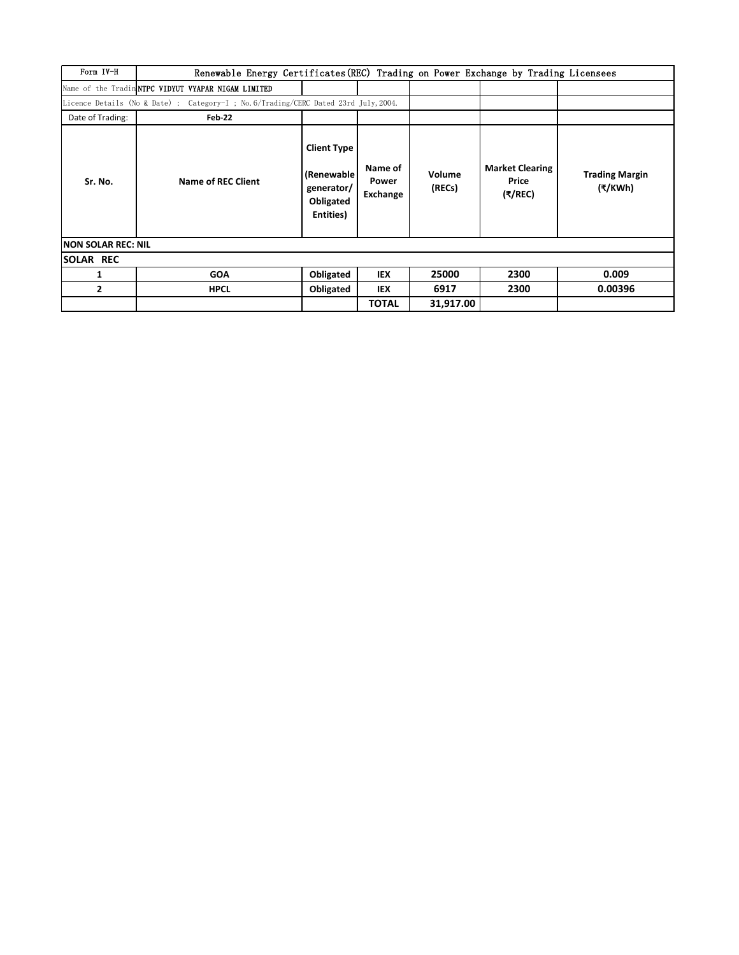| Form IV-H           | Renewable Energy Certificates (REC) Trading on Power Exchange by Trading Licensees   |                                                                           |                              |                  |                                                      |                                  |
|---------------------|--------------------------------------------------------------------------------------|---------------------------------------------------------------------------|------------------------------|------------------|------------------------------------------------------|----------------------------------|
|                     | Name of the Tradin NTPC VIDYUT VYAPAR NIGAM LIMITED                                  |                                                                           |                              |                  |                                                      |                                  |
|                     | Licence Details (No & Date) : Category-I ; No. 6/Trading/CERC Dated 23rd July, 2004. |                                                                           |                              |                  |                                                      |                                  |
| Date of Trading:    | Feb-22                                                                               |                                                                           |                              |                  |                                                      |                                  |
| Sr. No.             | <b>Name of REC Client</b>                                                            | <b>Client Type</b><br>(Renewable)<br>generator/<br>Obligated<br>Entities) | Name of<br>Power<br>Exchange | Volume<br>(RECs) | <b>Market Clearing</b><br>Price<br>$(\sqrt[3]{REC})$ | <b>Trading Margin</b><br>(₹/KWh) |
| INON SOLAR REC: NIL |                                                                                      |                                                                           |                              |                  |                                                      |                                  |
| <b>SOLAR REC</b>    |                                                                                      |                                                                           |                              |                  |                                                      |                                  |
| 1                   | <b>GOA</b>                                                                           | Obligated                                                                 | IEX                          | 25000            | 2300                                                 | 0.009                            |
| $\mathbf{2}$        | <b>HPCL</b>                                                                          | Obligated                                                                 | IEX                          | 6917             | 2300                                                 | 0.00396                          |
|                     |                                                                                      |                                                                           | <b>TOTAL</b>                 | 31,917.00        |                                                      |                                  |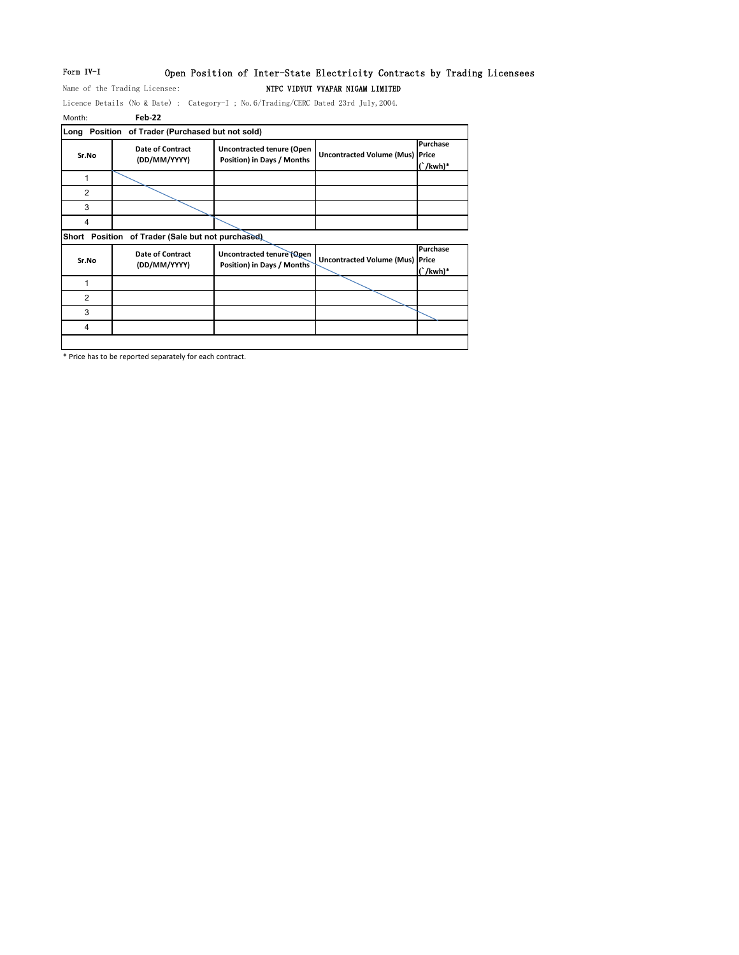## Form IV-I Open Position of Inter-State Electricity Contracts by Trading Licensees Name of the Trading Licensee: NTPC VIDYUT VYAPAR NIGAM LIMITED

Licence Details (No & Date) : Category-I ; No.6/Trading/CERC Dated 23rd July,2004.

| Month:         | Feb-22                                      |                                                                |                                        |                           |
|----------------|---------------------------------------------|----------------------------------------------------------------|----------------------------------------|---------------------------|
| Long           | Position of Trader (Purchased but not sold) |                                                                |                                        |                           |
| Sr.No          | Date of Contract<br>(DD/MM/YYYY)            | <b>Uncontracted tenure (Open</b><br>Position) in Days / Months | <b>Uncontracted Volume (Mus) Price</b> | Purchase<br>$\int$ /kwh)* |
| 1              |                                             |                                                                |                                        |                           |
| $\overline{2}$ |                                             |                                                                |                                        |                           |
| 3              |                                             |                                                                |                                        |                           |
| 4              |                                             |                                                                |                                        |                           |
| Short Position | of Trader (Sale but not purchased)          |                                                                |                                        |                           |
| Sr.No          | <b>Date of Contract</b><br>(DD/MM/YYYY)     | Uncontracted tenure (Open<br>Position) in Days / Months        | <b>Uncontracted Volume (Mus) Price</b> | Purchase<br>$\int$ /kwh)* |
| 1              |                                             |                                                                |                                        |                           |
| $\overline{2}$ |                                             |                                                                |                                        |                           |
| 3              |                                             |                                                                |                                        |                           |
|                |                                             |                                                                |                                        |                           |

\* Price has to be reported separately for each contract.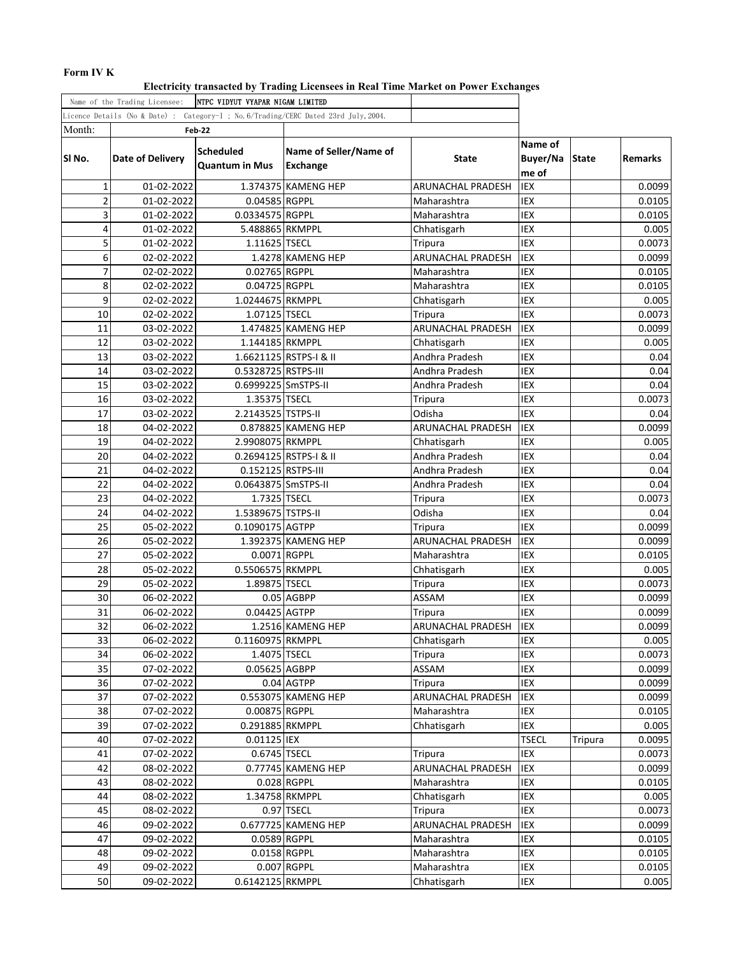## **Form IV K**

**Electricity transacted by Trading Licensees in Real Time Market on Power Exchanges**

|                                                                                     | Name of the Trading Licensee:                          | NTPC VIDYUT VYAPAR NIGAM LIMITED |                                           |                          |                              |              |                |
|-------------------------------------------------------------------------------------|--------------------------------------------------------|----------------------------------|-------------------------------------------|--------------------------|------------------------------|--------------|----------------|
| Licence Details (No & Date) : Category-I ; No.6/Trading/CERC Dated 23rd July, 2004. |                                                        |                                  |                                           |                          |                              |              |                |
| Month:                                                                              |                                                        | Feb-22                           |                                           |                          |                              |              |                |
| SI No.                                                                              | Scheduled<br>Date of Delivery<br><b>Quantum in Mus</b> |                                  | Name of Seller/Name of<br><b>Exchange</b> | State                    | Name of<br>Buyer/Na<br>me of | <b>State</b> | <b>Remarks</b> |
| $\mathbf{1}$                                                                        | 01-02-2022                                             |                                  | 1.374375 KAMENG HEP                       | <b>ARUNACHAL PRADESH</b> | <b>IEX</b>                   |              | 0.0099         |
| $\overline{2}$                                                                      | 01-02-2022                                             | 0.04585 RGPPL                    |                                           | Maharashtra              | IEX                          |              | 0.0105         |
| 3                                                                                   | 01-02-2022                                             | 0.0334575 RGPPL                  |                                           | Maharashtra              | IEX                          |              | 0.0105         |
| $\overline{4}$                                                                      | 01-02-2022                                             | 5.488865 RKMPPL                  |                                           | Chhatisgarh              | IEX                          |              | 0.005          |
| 5                                                                                   | 01-02-2022                                             | 1.11625 TSECL                    |                                           | Tripura                  | IEX                          |              | 0.0073         |
| 6                                                                                   | 02-02-2022                                             |                                  | 1.4278 KAMENG HEP                         | <b>ARUNACHAL PRADESH</b> | <b>IEX</b>                   |              | 0.0099         |
| $\overline{7}$                                                                      | 02-02-2022                                             | 0.02765 RGPPL                    |                                           | Maharashtra              | IEX                          |              | 0.0105         |
| 8                                                                                   | 02-02-2022                                             | 0.04725 RGPPL                    |                                           | Maharashtra              | IEX                          |              | 0.0105         |
| 9                                                                                   | 02-02-2022                                             | 1.0244675 RKMPPL                 |                                           | Chhatisgarh              | IEX                          |              | 0.005          |
| 10                                                                                  | 02-02-2022                                             | 1.07125 TSECL                    |                                           | Tripura                  | IEX                          |              | 0.0073         |
| 11                                                                                  | 03-02-2022                                             |                                  | 1.474825 KAMENG HEP                       | ARUNACHAL PRADESH        | <b>IEX</b>                   |              | 0.0099         |
| 12                                                                                  | 03-02-2022                                             | 1.144185 RKMPPL                  |                                           | Chhatisgarh              | IEX                          |              | 0.005          |
| 13                                                                                  | 03-02-2022                                             |                                  | 1.6621125 RSTPS-I & II                    | Andhra Pradesh           | <b>IEX</b>                   |              | 0.04           |
| 14                                                                                  | 03-02-2022                                             | 0.5328725 RSTPS-III              |                                           | Andhra Pradesh           | IEX                          |              | 0.04           |
| 15                                                                                  | 03-02-2022                                             | 0.6999225 SmSTPS-II              |                                           | Andhra Pradesh           | IEX                          |              | 0.04           |
| 16                                                                                  | 03-02-2022                                             | 1.35375 TSECL                    |                                           | Tripura                  | IEX                          |              | 0.0073         |
| 17                                                                                  | 03-02-2022                                             | 2.2143525 TSTPS-II               |                                           | Odisha                   | IEX                          |              | 0.04           |
| 18                                                                                  | 04-02-2022                                             |                                  | 0.878825 KAMENG HEP                       | ARUNACHAL PRADESH        | <b>IEX</b>                   |              | 0.0099         |
| 19                                                                                  | 04-02-2022                                             | 2.9908075 RKMPPL                 |                                           | Chhatisgarh              | <b>IEX</b>                   |              | 0.005          |
| 20                                                                                  | 04-02-2022                                             |                                  | 0.2694125 RSTPS-I & II                    | Andhra Pradesh           | IEX                          |              | 0.04           |
| 21                                                                                  | 04-02-2022                                             | 0.152125 RSTPS-III               |                                           | Andhra Pradesh           | IEX                          |              | 0.04           |
| 22                                                                                  | 04-02-2022                                             | 0.0643875 SmSTPS-II              |                                           | Andhra Pradesh           | IEX                          |              | 0.04           |
| 23                                                                                  | 04-02-2022                                             | 1.7325 TSECL                     |                                           | Tripura                  | IEX                          |              | 0.0073         |
| 24                                                                                  | 04-02-2022                                             | 1.5389675 TSTPS-II               |                                           | Odisha                   | IEX                          |              | 0.04           |
| 25                                                                                  | 05-02-2022                                             | 0.1090175 AGTPP                  |                                           | Tripura                  | <b>IEX</b>                   |              | 0.0099         |
| 26                                                                                  | 05-02-2022                                             |                                  | 1.392375 KAMENG HEP                       | ARUNACHAL PRADESH        | IEX<br>IEX                   |              | 0.0099         |
| 27                                                                                  | 05-02-2022                                             | 0.0071 RGPPL                     |                                           | Maharashtra              |                              |              | 0.0105         |
| 28                                                                                  | 05-02-2022                                             | 0.5506575 RKMPPL                 |                                           | Chhatisgarh              | IEX                          |              | 0.005          |
| 29                                                                                  | 05-02-2022                                             | 1.89875 TSECL                    |                                           | Tripura                  | IEX                          |              | 0.0073         |
| 30                                                                                  | 06-02-2022                                             |                                  | 0.05 AGBPP                                | ASSAM                    | IEX                          |              | 0.0099         |
| 31                                                                                  | 06-02-2022                                             | 0.04425 AGTPP                    |                                           | Tripura                  | IEX                          |              | 0.0099         |
| 32                                                                                  | 06-02-2022                                             |                                  | 1.2516 KAMENG HEP                         | ARUNACHAL PRADESH        | <b>IEX</b>                   |              | 0.0099         |
| 33                                                                                  | 06-02-2022                                             | 0.1160975 RKMPPL                 |                                           | Chhatisgarh              | IEX                          |              | 0.005          |
| 34                                                                                  | 06-02-2022                                             | 1.4075 TSECL                     |                                           | Tripura                  | IEX                          |              | 0.0073         |
| 35                                                                                  | 07-02-2022                                             | 0.05625 AGBPP                    |                                           | ASSAM                    | IEX                          |              | 0.0099         |
| 36                                                                                  | 07-02-2022                                             |                                  | 0.04 AGTPP                                | Tripura                  | IEX                          |              | 0.0099         |
| 37                                                                                  | 07-02-2022                                             |                                  | 0.553075 KAMENG HEP                       | ARUNACHAL PRADESH        | IEX                          |              | 0.0099         |
| 38                                                                                  | 07-02-2022                                             | 0.00875 RGPPL                    |                                           | Maharashtra              | IEX                          |              | 0.0105         |
| 39                                                                                  | 07-02-2022                                             | 0.291885 RKMPPL                  |                                           | Chhatisgarh              | IEX                          |              | 0.005          |
| 40                                                                                  | 07-02-2022                                             | 0.01125 IEX                      |                                           |                          | <b>TSECL</b>                 | Tripura      | 0.0095         |
| 41                                                                                  | 07-02-2022                                             | 0.6745 TSECL                     |                                           | Tripura                  | IEX                          |              | 0.0073         |
| 42                                                                                  | 08-02-2022                                             |                                  | 0.77745 KAMENG HEP                        | ARUNACHAL PRADESH        | IEX                          |              | 0.0099         |
| 43                                                                                  | 08-02-2022                                             |                                  | 0.028 RGPPL                               | Maharashtra              | IEX                          |              | 0.0105         |
| 44                                                                                  | 08-02-2022                                             |                                  | 1.34758 RKMPPL                            | Chhatisgarh              | IEX                          |              | 0.005          |
| 45                                                                                  | 08-02-2022                                             |                                  | 0.97 TSECL                                | Tripura                  | IEX                          |              | 0.0073         |
| 46                                                                                  | 09-02-2022                                             |                                  | 0.677725 KAMENG HEP                       | ARUNACHAL PRADESH        | IEX                          |              | 0.0099         |
| 47                                                                                  | 09-02-2022                                             | 0.0589 RGPPL                     |                                           | Maharashtra              | IEX                          |              | 0.0105         |
| 48                                                                                  | 09-02-2022                                             |                                  | 0.0158 RGPPL                              | Maharashtra              | IEX                          |              | 0.0105         |
| 49                                                                                  | 09-02-2022                                             |                                  | 0.007 RGPPL                               | Maharashtra              | IEX                          |              | 0.0105         |
| 50                                                                                  | 09-02-2022                                             | 0.6142125 RKMPPL                 |                                           | Chhatisgarh              | IEX                          |              | 0.005          |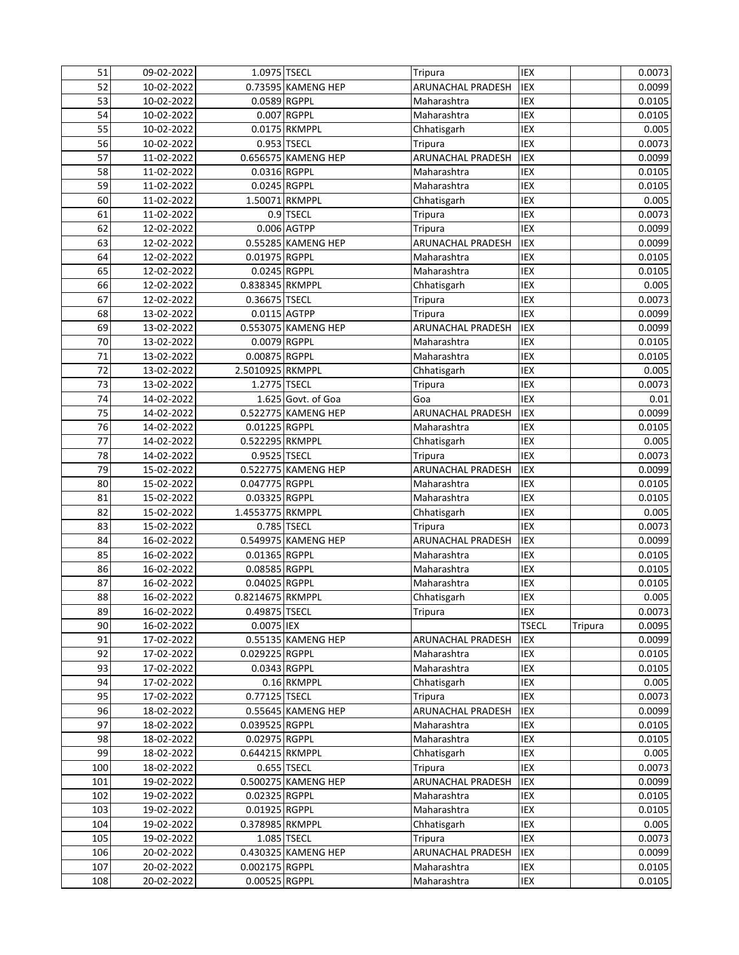| 51  | 09-02-2022 | 1.0975 TSECL     |                     | Tripura                  | <b>IEX</b>   |         | 0.0073 |
|-----|------------|------------------|---------------------|--------------------------|--------------|---------|--------|
| 52  | 10-02-2022 |                  | 0.73595 KAMENG HEP  | ARUNACHAL PRADESH        | <b>IEX</b>   |         | 0.0099 |
| 53  | 10-02-2022 | 0.0589 RGPPL     |                     | Maharashtra              | IEX          |         | 0.0105 |
| 54  | 10-02-2022 |                  | 0.007 RGPPL         | Maharashtra              | IEX          |         | 0.0105 |
| 55  | 10-02-2022 |                  | 0.0175 RKMPPL       | Chhatisgarh              | IEX          |         | 0.005  |
| 56  | 10-02-2022 |                  | 0.953 TSECL         | Tripura                  | IEX          |         | 0.0073 |
| 57  | 11-02-2022 |                  | 0.656575 KAMENG HEP | ARUNACHAL PRADESH        | IEX          |         | 0.0099 |
| 58  | 11-02-2022 | 0.0316 RGPPL     |                     | Maharashtra              | <b>IEX</b>   |         | 0.0105 |
| 59  | 11-02-2022 | 0.0245 RGPPL     |                     | Maharashtra              | IEX          |         | 0.0105 |
| 60  | 11-02-2022 |                  | 1.50071 RKMPPL      | Chhatisgarh              | <b>IEX</b>   |         | 0.005  |
| 61  | 11-02-2022 |                  | 0.9 TSECL           | Tripura                  | IEX          |         | 0.0073 |
| 62  | 12-02-2022 |                  | 0.006 AGTPP         | Tripura                  | <b>IEX</b>   |         | 0.0099 |
| 63  | 12-02-2022 |                  | 0.55285 KAMENG HEP  | <b>ARUNACHAL PRADESH</b> | IEX          |         | 0.0099 |
| 64  | 12-02-2022 | 0.01975 RGPPL    |                     | Maharashtra              | <b>IEX</b>   |         | 0.0105 |
| 65  | 12-02-2022 | 0.0245 RGPPL     |                     | Maharashtra              | <b>IEX</b>   |         | 0.0105 |
| 66  | 12-02-2022 | 0.838345 RKMPPL  |                     | Chhatisgarh              | IEX          |         | 0.005  |
| 67  | 12-02-2022 | 0.36675 TSECL    |                     | Tripura                  | IEX          |         | 0.0073 |
| 68  | 13-02-2022 | 0.0115 AGTPP     |                     | Tripura                  | IEX          |         | 0.0099 |
| 69  | 13-02-2022 |                  | 0.553075 KAMENG HEP | <b>ARUNACHAL PRADESH</b> | IEX          |         | 0.0099 |
| 70  | 13-02-2022 | 0.0079 RGPPL     |                     | Maharashtra              | IEX          |         | 0.0105 |
| 71  | 13-02-2022 | 0.00875 RGPPL    |                     | Maharashtra              | IEX          |         | 0.0105 |
| 72  | 13-02-2022 | 2.5010925 RKMPPL |                     | Chhatisgarh              | IEX          |         | 0.005  |
| 73  | 13-02-2022 | 1.2775 TSECL     |                     | Tripura                  | IEX          |         | 0.0073 |
| 74  | 14-02-2022 |                  | 1.625 Govt. of Goa  | Goa                      | IEX          |         | 0.01   |
| 75  | 14-02-2022 |                  | 0.522775 KAMENG HEP | ARUNACHAL PRADESH        | IEX          |         | 0.0099 |
| 76  | 14-02-2022 | 0.01225 RGPPL    |                     | Maharashtra              | <b>IEX</b>   |         | 0.0105 |
| 77  | 14-02-2022 | 0.522295 RKMPPL  |                     | Chhatisgarh              | <b>IEX</b>   |         | 0.005  |
| 78  | 14-02-2022 | 0.9525 TSECL     |                     | Tripura                  | <b>IEX</b>   |         | 0.0073 |
| 79  | 15-02-2022 |                  | 0.522775 KAMENG HEP | <b>ARUNACHAL PRADESH</b> | <b>IEX</b>   |         | 0.0099 |
| 80  | 15-02-2022 | 0.047775 RGPPL   |                     | Maharashtra              | <b>IEX</b>   |         | 0.0105 |
| 81  | 15-02-2022 | 0.03325 RGPPL    |                     | Maharashtra              | IEX          |         | 0.0105 |
| 82  | 15-02-2022 | 1.4553775 RKMPPL |                     | Chhatisgarh              | IEX          |         | 0.005  |
| 83  | 15-02-2022 |                  | 0.785 TSECL         | Tripura                  | IEX          |         | 0.0073 |
| 84  | 16-02-2022 |                  | 0.549975 KAMENG HEP | ARUNACHAL PRADESH        | IEX          |         | 0.0099 |
| 85  | 16-02-2022 | 0.01365 RGPPL    |                     | Maharashtra              | IEX          |         | 0.0105 |
| 86  | 16-02-2022 | 0.08585 RGPPL    |                     | Maharashtra              | IEX          |         | 0.0105 |
| 87  | 16-02-2022 | 0.04025 RGPPL    |                     | Maharashtra              | IEX          |         | 0.0105 |
| 88  | 16-02-2022 | 0.8214675 RKMPPL |                     | Chhatisgarh              | IEX          |         | 0.005  |
| 89  | 16-02-2022 | 0.49875 TSECL    |                     | Tripura                  | IEX          |         | 0.0073 |
| 90  | 16-02-2022 | 0.0075 IEX       |                     |                          | <b>TSECL</b> | Tripura | 0.0095 |
| 91  | 17-02-2022 |                  | 0.55135 KAMENG HEP  | <b>ARUNACHAL PRADESH</b> | IEX          |         | 0.0099 |
| 92  | 17-02-2022 | 0.029225 RGPPL   |                     | Maharashtra              | IEX          |         | 0.0105 |
| 93  | 17-02-2022 | 0.0343 RGPPL     |                     | Maharashtra              | IEX          |         | 0.0105 |
| 94  | 17-02-2022 |                  | 0.16 RKMPPL         | Chhatisgarh              | IEX          |         | 0.005  |
| 95  | 17-02-2022 | 0.77125 TSECL    |                     | Tripura                  | IEX          |         | 0.0073 |
| 96  | 18-02-2022 |                  | 0.55645 KAMENG HEP  | ARUNACHAL PRADESH        | IEX          |         | 0.0099 |
| 97  | 18-02-2022 | 0.039525 RGPPL   |                     | Maharashtra              | IEX          |         | 0.0105 |
| 98  | 18-02-2022 | 0.02975 RGPPL    |                     | Maharashtra              | IEX          |         | 0.0105 |
| 99  | 18-02-2022 | 0.644215 RKMPPL  |                     | Chhatisgarh              | IEX          |         | 0.005  |
| 100 | 18-02-2022 |                  | 0.655 TSECL         | <b>Tripura</b>           | IEX          |         | 0.0073 |
| 101 | 19-02-2022 |                  | 0.500275 KAMENG HEP | ARUNACHAL PRADESH        | IEX          |         | 0.0099 |
| 102 | 19-02-2022 | 0.02325 RGPPL    |                     | Maharashtra              | IEX          |         | 0.0105 |
| 103 | 19-02-2022 | 0.01925 RGPPL    |                     | Maharashtra              | IEX          |         | 0.0105 |
| 104 | 19-02-2022 | 0.378985 RKMPPL  |                     | Chhatisgarh              | IEX          |         | 0.005  |
| 105 | 19-02-2022 |                  | 1.085 TSECL         | Tripura                  | IEX          |         | 0.0073 |
| 106 | 20-02-2022 |                  | 0.430325 KAMENG HEP | ARUNACHAL PRADESH        | IEX          |         | 0.0099 |
| 107 | 20-02-2022 | 0.002175 RGPPL   |                     | Maharashtra              | IEX          |         | 0.0105 |
| 108 | 20-02-2022 | 0.00525 RGPPL    |                     | Maharashtra              | IEX          |         | 0.0105 |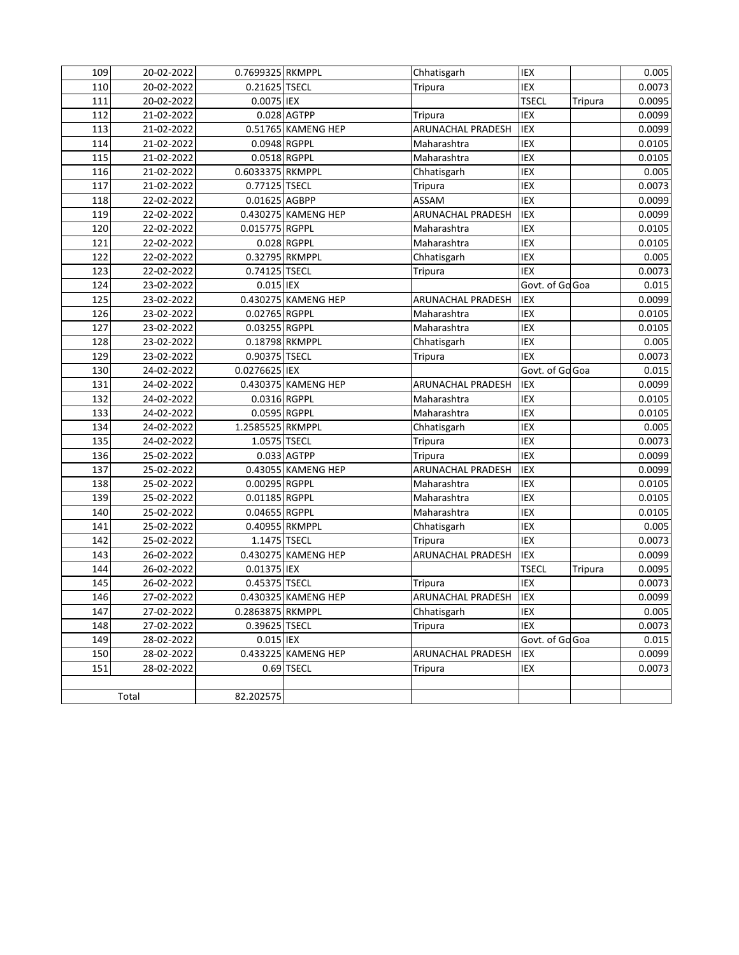| 109 | 20-02-2022 | 0.7699325 RKMPPL |                     | Chhatisgarh              | IEX             |         | 0.005  |
|-----|------------|------------------|---------------------|--------------------------|-----------------|---------|--------|
| 110 | 20-02-2022 | 0.21625 TSECL    |                     | Tripura                  | IEX             |         | 0.0073 |
| 111 | 20-02-2022 | 0.0075 IEX       |                     |                          | <b>TSECL</b>    | Tripura | 0.0095 |
| 112 | 21-02-2022 |                  | 0.028 AGTPP         | Tripura                  | IEX             |         | 0.0099 |
| 113 | 21-02-2022 |                  | 0.51765 KAMENG HEP  | ARUNACHAL PRADESH        | IEX             |         | 0.0099 |
| 114 | 21-02-2022 | 0.0948 RGPPL     |                     | Maharashtra              | IEX             |         | 0.0105 |
| 115 | 21-02-2022 | 0.0518 RGPPL     |                     | Maharashtra              | IEX             |         | 0.0105 |
| 116 | 21-02-2022 | 0.6033375 RKMPPL |                     | Chhatisgarh              | IEX             |         | 0.005  |
| 117 | 21-02-2022 | 0.77125 TSECL    |                     | Tripura                  | IEX             |         | 0.0073 |
| 118 | 22-02-2022 | 0.01625 AGBPP    |                     | ASSAM                    | <b>IEX</b>      |         | 0.0099 |
| 119 | 22-02-2022 |                  | 0.430275 KAMENG HEP | <b>ARUNACHAL PRADESH</b> | IEX             |         | 0.0099 |
| 120 | 22-02-2022 | 0.015775 RGPPL   |                     | Maharashtra              | IEX             |         | 0.0105 |
| 121 | 22-02-2022 |                  | 0.028 RGPPL         | Maharashtra              | IEX             |         | 0.0105 |
| 122 | 22-02-2022 |                  | 0.32795 RKMPPL      | Chhatisgarh              | IEX             |         | 0.005  |
| 123 | 22-02-2022 | 0.74125 TSECL    |                     | <b>Tripura</b>           | <b>IEX</b>      |         | 0.0073 |
| 124 | 23-02-2022 | 0.015 IEX        |                     |                          | Govt. of Go Goa |         | 0.015  |
| 125 | 23-02-2022 |                  | 0.430275 KAMENG HEP | <b>ARUNACHAL PRADESH</b> | IEX             |         | 0.0099 |
| 126 | 23-02-2022 | 0.02765 RGPPL    |                     | Maharashtra              | IEX             |         | 0.0105 |
| 127 | 23-02-2022 | 0.03255 RGPPL    |                     | Maharashtra              | IEX             |         | 0.0105 |
| 128 | 23-02-2022 |                  | 0.18798 RKMPPL      | Chhatisgarh              | IEX             |         | 0.005  |
| 129 | 23-02-2022 | 0.90375 TSECL    |                     | Tripura                  | <b>IEX</b>      |         | 0.0073 |
| 130 | 24-02-2022 | 0.0276625 IEX    |                     |                          | Govt. of Go Goa |         | 0.015  |
| 131 | 24-02-2022 |                  | 0.430375 KAMENG HEP | ARUNACHAL PRADESH        | IEX             |         | 0.0099 |
| 132 | 24-02-2022 | 0.0316 RGPPL     |                     | Maharashtra              | IEX             |         | 0.0105 |
| 133 | 24-02-2022 | 0.0595 RGPPL     |                     | Maharashtra              | IEX             |         | 0.0105 |
| 134 | 24-02-2022 | 1.2585525 RKMPPL |                     | Chhatisgarh              | IEX             |         | 0.005  |
| 135 | 24-02-2022 | 1.0575 TSECL     |                     | <b>Tripura</b>           | IEX             |         | 0.0073 |
| 136 | 25-02-2022 |                  | $0.033$ AGTPP       | Tripura                  | <b>IEX</b>      |         | 0.0099 |
| 137 | 25-02-2022 |                  | 0.43055 KAMENG HEP  | ARUNACHAL PRADESH        | <b>IEX</b>      |         | 0.0099 |
| 138 | 25-02-2022 | 0.00295 RGPPL    |                     | Maharashtra              | IEX             |         | 0.0105 |
| 139 | 25-02-2022 | 0.01185 RGPPL    |                     | Maharashtra              | IEX             |         | 0.0105 |
| 140 | 25-02-2022 | 0.04655 RGPPL    |                     | Maharashtra              | IEX             |         | 0.0105 |
| 141 | 25-02-2022 |                  | 0.40955 RKMPPL      | Chhatisgarh              | IEX             |         | 0.005  |
| 142 | 25-02-2022 | 1.1475 TSECL     |                     | Tripura                  | IEX             |         | 0.0073 |
| 143 | 26-02-2022 |                  | 0.430275 KAMENG HEP | ARUNACHAL PRADESH        | <b>IEX</b>      |         | 0.0099 |
| 144 | 26-02-2022 | 0.01375 IEX      |                     |                          | <b>TSECL</b>    | Tripura | 0.0095 |
| 145 | 26-02-2022 | 0.45375 TSECL    |                     | Tripura                  | IEX             |         | 0.0073 |
| 146 | 27-02-2022 |                  | 0.430325 KAMENG HEP | ARUNACHAL PRADESH        | IEX             |         | 0.0099 |
| 147 | 27-02-2022 | 0.2863875 RKMPPL |                     | Chhatisgarh              | IEX             |         | 0.005  |
| 148 | 27-02-2022 | 0.39625 TSECL    |                     | Tripura                  | IEX             |         | 0.0073 |
| 149 | 28-02-2022 | 0.015 IEX        |                     |                          | Govt. of Go Goa |         | 0.015  |
| 150 | 28-02-2022 |                  | 0.433225 KAMENG HEP | ARUNACHAL PRADESH        | IEX             |         | 0.0099 |
| 151 | 28-02-2022 |                  | 0.69 TSECL          | Tripura                  | IEX             |         | 0.0073 |
|     |            |                  |                     |                          |                 |         |        |
|     | Total      | 82.202575        |                     |                          |                 |         |        |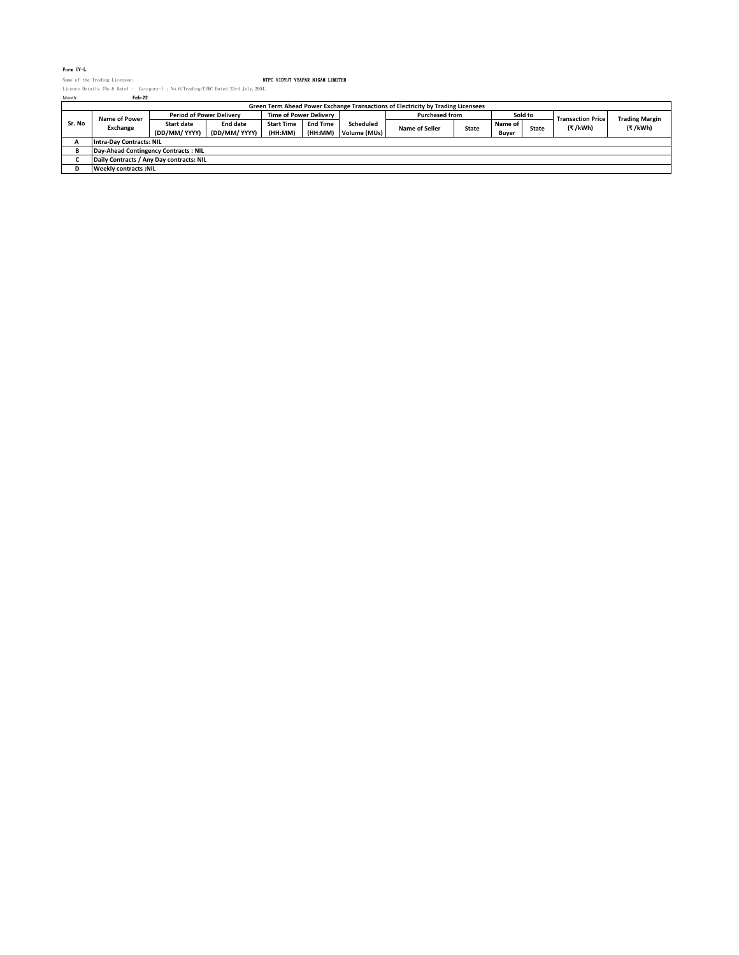### Form IV-L

Name of the Trading Licensee: NTPC VIDYUT VYAPAR NIGAM LIMITED Licence Details (No & Date) : Category-I ; No.6/Trading/CERC Dated 23rd July,2004. Month: **Feb-22**

| Month: | Feb-22                                                                           |                                 |               |                               |                 |                       |                       |              |         |                          |                       |         |
|--------|----------------------------------------------------------------------------------|---------------------------------|---------------|-------------------------------|-----------------|-----------------------|-----------------------|--------------|---------|--------------------------|-----------------------|---------|
|        | Green Term Ahead Power Exchange Transactions of Electricity by Trading Licensees |                                 |               |                               |                 |                       |                       |              |         |                          |                       |         |
|        | Name of Power                                                                    | <b>Period of Power Delivery</b> |               | <b>Time of Power Delivery</b> |                 | <b>Purchased from</b> |                       | Sold to      |         | <b>Transaction Price</b> | <b>Trading Margin</b> |         |
| Sr. No | Exchange                                                                         | <b>Start date</b>               | End date      | <b>Start Time</b>             | <b>End Time</b> | Scheduled             |                       | <b>State</b> | Name of | <b>State</b>             | (₹/kWh)               | (₹/kWh) |
|        |                                                                                  | (DD/MM/ YYYY)                   | (DD/MM/ YYYY) | (HH:MM)                       | (HH:MM)         | Volume (MUs)          | <b>Name of Seller</b> |              | Buver   |                          |                       |         |
|        | <b>Intra-Day Contracts: NIL</b>                                                  |                                 |               |                               |                 |                       |                       |              |         |                          |                       |         |
|        | Day-Ahead Contingency Contracts: NIL                                             |                                 |               |                               |                 |                       |                       |              |         |                          |                       |         |
|        | Daily Contracts / Any Day contracts: NIL                                         |                                 |               |                               |                 |                       |                       |              |         |                          |                       |         |
|        | <b>Weekly contracts: NIL</b>                                                     |                                 |               |                               |                 |                       |                       |              |         |                          |                       |         |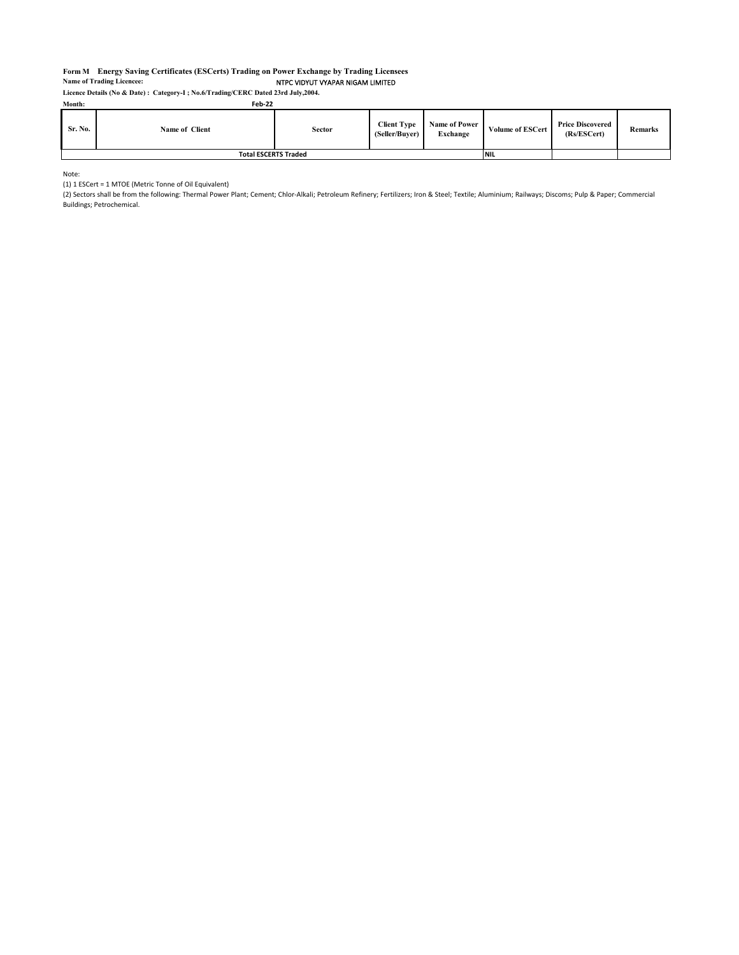### **Form M Energy Saving Certificates (ESCerts) Trading on Power Exchange by Trading Licensees** NTPC VIDYUT VYAPAR NIGAM LIMITED **Name of Trading Licencee:**

**Licence Details (No & Date) : Category-I ; No.6/Trading/CERC Dated 23rd July,2004.**

| Month:  | Feb-22                      |        |                                      |                           |                         |                                        |                |
|---------|-----------------------------|--------|--------------------------------------|---------------------------|-------------------------|----------------------------------------|----------------|
| Sr. No. | Name of Client              | Sector | <b>Client Type</b><br>(Seller/Buver) | Name of Power<br>Exchange | <b>Volume of ESCert</b> | <b>Price Discovered</b><br>(Rs/ESCert) | <b>Remarks</b> |
|         | <b>Total ESCERTS Traded</b> |        |                                      |                           |                         |                                        |                |

Note:

(1) 1 ESCert = 1 MTOE (Metric Tonne of Oil Equivalent)

(2) Sectors shall be from the following: Thermal Power Plant; Cement; Chlor-Alkali; Petroleum Refinery; Fertilizers; Iron & Steel; Textile; Aluminium; Railways; Discoms; Pulp & Paper; Commercial Buildings; Petrochemical.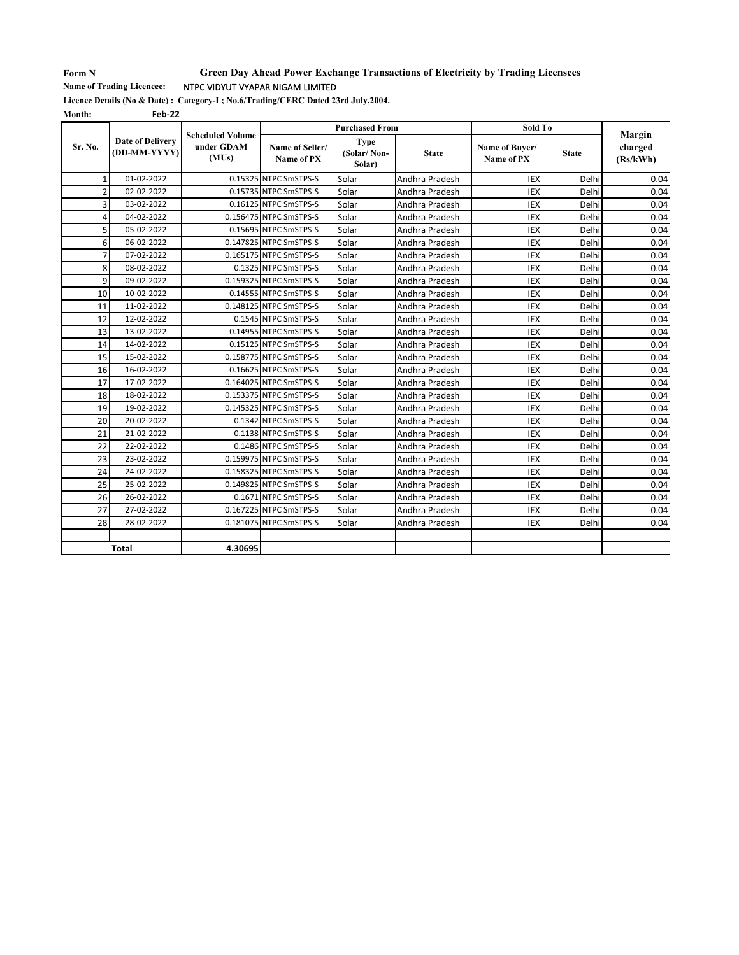## **Form N Name of Trading Licencee:**

## NTPC VIDYUT VYAPAR NIGAM LIMITED **Green Day Ahead Power Exchange Transactions of Electricity by Trading Licensees**

**Licence Details (No & Date) : Category-I ; No.6/Trading/CERC Dated 23rd July,2004.**

**Month: Feb-22**

|                |                                         | <b>Scheduled Volume</b><br>under GDAM<br>(MUs) |                               | <b>Purchased From</b>                |                | Sold To                      |              |                               |
|----------------|-----------------------------------------|------------------------------------------------|-------------------------------|--------------------------------------|----------------|------------------------------|--------------|-------------------------------|
| Sr. No.        | <b>Date of Delivery</b><br>(DD-MM-YYYY) |                                                | Name of Seller/<br>Name of PX | <b>Type</b><br>(Solar/Non-<br>Solar) | <b>State</b>   | Name of Buyer/<br>Name of PX | <b>State</b> | Margin<br>charged<br>(Rs/kWh) |
| 1              | 01-02-2022                              |                                                | 0.15325 NTPC SmSTPS-S         | Solar                                | Andhra Pradesh | <b>IEX</b>                   | Delhi        | 0.04                          |
| $\overline{2}$ | 02-02-2022                              |                                                | 0.15735 NTPC SmSTPS-S         | Solar                                | Andhra Pradesh | <b>IEX</b>                   | Delhi        | 0.04                          |
| 3              | 03-02-2022                              |                                                | 0.16125 NTPC SmSTPS-S         | Solar                                | Andhra Pradesh | <b>IEX</b>                   | Delhi        | 0.04                          |
| $\overline{4}$ | 04-02-2022                              |                                                | 0.156475 NTPC SmSTPS-S        | Solar                                | Andhra Pradesh | <b>IEX</b>                   | Delhi        | 0.04                          |
| 5              | 05-02-2022                              |                                                | 0.15695 NTPC SmSTPS-S         | Solar                                | Andhra Pradesh | IEX                          | Delhi        | 0.04                          |
| 6              | 06-02-2022                              |                                                | 0.147825 NTPC SmSTPS-S        | Solar                                | Andhra Pradesh | <b>IEX</b>                   | Delhi        | 0.04                          |
| $\overline{7}$ | 07-02-2022                              |                                                | 0.165175 NTPC SmSTPS-S        | Solar                                | Andhra Pradesh | IEX                          | Delhi        | 0.04                          |
| 8              | 08-02-2022                              |                                                | 0.1325 NTPC SmSTPS-S          | Solar                                | Andhra Pradesh | <b>IEX</b>                   | Delhi        | 0.04                          |
| 9              | 09-02-2022                              |                                                | 0.159325 NTPC SmSTPS-S        | Solar                                | Andhra Pradesh | <b>IEX</b>                   | Delhi        | 0.04                          |
| 10             | 10-02-2022                              |                                                | 0.14555 NTPC SmSTPS-S         | Solar                                | Andhra Pradesh | IEX                          | Delhi        | 0.04                          |
| 11             | 11-02-2022                              |                                                | 0.148125 NTPC SmSTPS-S        | Solar                                | Andhra Pradesh | <b>IEX</b>                   | Delhi        | 0.04                          |
| 12             | 12-02-2022                              |                                                | 0.1545 NTPC SmSTPS-S          | Solar                                | Andhra Pradesh | <b>IEX</b>                   | Delhi        | 0.04                          |
| 13             | 13-02-2022                              |                                                | 0.14955 NTPC SmSTPS-S         | Solar                                | Andhra Pradesh | <b>IEX</b>                   | Delhi        | 0.04                          |
| 14             | 14-02-2022                              |                                                | 0.15125 NTPC SmSTPS-S         | Solar                                | Andhra Pradesh | <b>IEX</b>                   | Delhi        | 0.04                          |
| 15             | 15-02-2022                              |                                                | 0.158775 NTPC SmSTPS-S        | Solar                                | Andhra Pradesh | IEX                          | Delhi        | 0.04                          |
| 16             | 16-02-2022                              |                                                | 0.16625 NTPC SmSTPS-S         | Solar                                | Andhra Pradesh | <b>IEX</b>                   | Delhi        | 0.04                          |
| 17             | 17-02-2022                              |                                                | 0.164025 NTPC SmSTPS-S        | Solar                                | Andhra Pradesh | IEX                          | Delhi        | 0.04                          |
| 18             | 18-02-2022                              |                                                | 0.153375 NTPC SmSTPS-S        | Solar                                | Andhra Pradesh | <b>IEX</b>                   | Delhi        | 0.04                          |
| 19             | 19-02-2022                              |                                                | 0.145325 NTPC SmSTPS-S        | Solar                                | Andhra Pradesh | <b>IEX</b>                   | Delhi        | 0.04                          |
| 20             | 20-02-2022                              |                                                | 0.1342 NTPC SmSTPS-S          | Solar                                | Andhra Pradesh | <b>IEX</b>                   | Delhi        | 0.04                          |
| 21             | 21-02-2022                              |                                                | 0.1138 NTPC SmSTPS-S          | Solar                                | Andhra Pradesh | <b>IEX</b>                   | Delhi        | 0.04                          |
| 22             | 22-02-2022                              |                                                | 0.1486 NTPC SmSTPS-S          | Solar                                | Andhra Pradesh | <b>IEX</b>                   | Delhi        | 0.04                          |
| 23             | 23-02-2022                              |                                                | 0.159975 NTPC SmSTPS-S        | Solar                                | Andhra Pradesh | <b>IEX</b>                   | Delhi        | 0.04                          |
| 24             | 24-02-2022                              |                                                | 0.158325 NTPC SmSTPS-S        | Solar                                | Andhra Pradesh | IEX                          | Delhi        | 0.04                          |
| 25             | 25-02-2022                              |                                                | 0.149825 NTPC SmSTPS-S        | Solar                                | Andhra Pradesh | <b>IEX</b>                   | Delhi        | 0.04                          |
| 26             | 26-02-2022                              |                                                | 0.1671 NTPC SmSTPS-S          | Solar                                | Andhra Pradesh | <b>IEX</b>                   | Delhi        | 0.04                          |
| 27             | 27-02-2022                              |                                                | 0.167225 NTPC SmSTPS-S        | Solar                                | Andhra Pradesh | <b>IEX</b>                   | Delhi        | 0.04                          |
| 28             | 28-02-2022                              |                                                | 0.181075 NTPC SmSTPS-S        | Solar                                | Andhra Pradesh | <b>IEX</b>                   | Delhi        | 0.04                          |
|                |                                         |                                                |                               |                                      |                |                              |              |                               |
|                | <b>Total</b>                            | 4.30695                                        |                               |                                      |                |                              |              |                               |